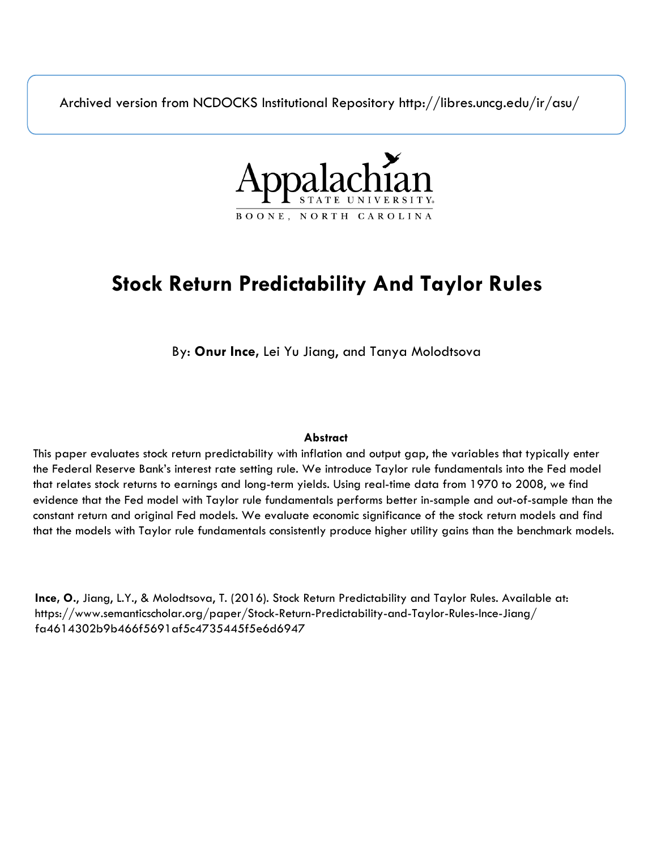Archived version from NCDOCKS Institutional Repository http://libres.uncg.edu/ir/asu/



# **Stock Return Predictability And Taylor Rules**

By: **Onur Ince,** Lei Yu Jiang, and Tanya Molodtsova

## **Abstract**

This paper evaluates stock return predictability with inflation and output gap, the variables that typically enter the Federal Reserve Bank's interest rate setting rule. We introduce Taylor rule fundamentals into the Fed model that relates stock returns to earnings and long-term yields. Using real-time data from 1970 to 2008, we find evidence that the Fed model with Taylor rule fundamentals performs better in-sample and out-of-sample than the constant return and original Fed models. We evaluate economic significance of the stock return models and find that the models with Taylor rule fundamentals consistently produce higher utility gains than the benchmark models.

**Ince, O.**, Jiang, L.Y., & Molodtsova, T. (2016). Stock Return Predictability and Taylor Rules. Available at: https://www.semanticscholar.org/paper/Stock-Return-Predictability-and-Taylor-Rules-Ince-Jiang/ fa4614302b9b466f5691af5c4735445f5e6d6947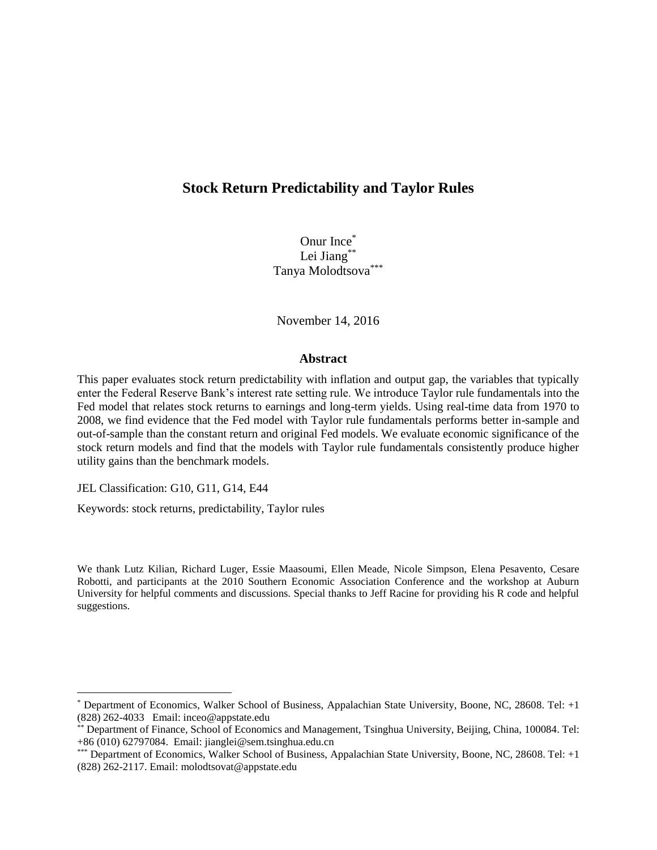# **Stock Return Predictability and Taylor Rules**

Onur Ince\* Lei Jiang<sup>\*\*</sup> Tanya Molodtsova<sup>\*\*\*</sup>

November 14, 2016

#### **Abstract**

This paper evaluates stock return predictability with inflation and output gap, the variables that typically enter the Federal Reserve Bank's interest rate setting rule. We introduce Taylor rule fundamentals into the Fed model that relates stock returns to earnings and long-term yields. Using real-time data from 1970 to 2008, we find evidence that the Fed model with Taylor rule fundamentals performs better in-sample and out-of-sample than the constant return and original Fed models. We evaluate economic significance of the stock return models and find that the models with Taylor rule fundamentals consistently produce higher utility gains than the benchmark models.

JEL Classification: G10, G11, G14, E44

Keywords: stock returns, predictability, Taylor rules

We thank Lutz Kilian, Richard Luger, Essie Maasoumi, Ellen Meade, Nicole Simpson, Elena Pesavento, Cesare Robotti, and participants at the 2010 Southern Economic Association Conference and the workshop at Auburn University for helpful comments and discussions. Special thanks to Jeff Racine for providing his R code and helpful suggestions.

<sup>\*</sup> Department of Economics, Walker School of Business, Appalachian State University, Boone, NC, 28608. Tel: +1 (828) 262-4033 Email: inceo@appstate.edu

<sup>\*\*</sup> Department of Finance, School of Economics and Management, Tsinghua University, Beijing, China, 100084. Tel: +86 (010) 62797084. Email: jianglei@sem.tsinghua.edu.cn

<sup>\*\*\*</sup> Department of Economics, Walker School of Business, Appalachian State University, Boone, NC, 28608. Tel: +1 (828) 262-2117. Email: molodtsovat@appstate.edu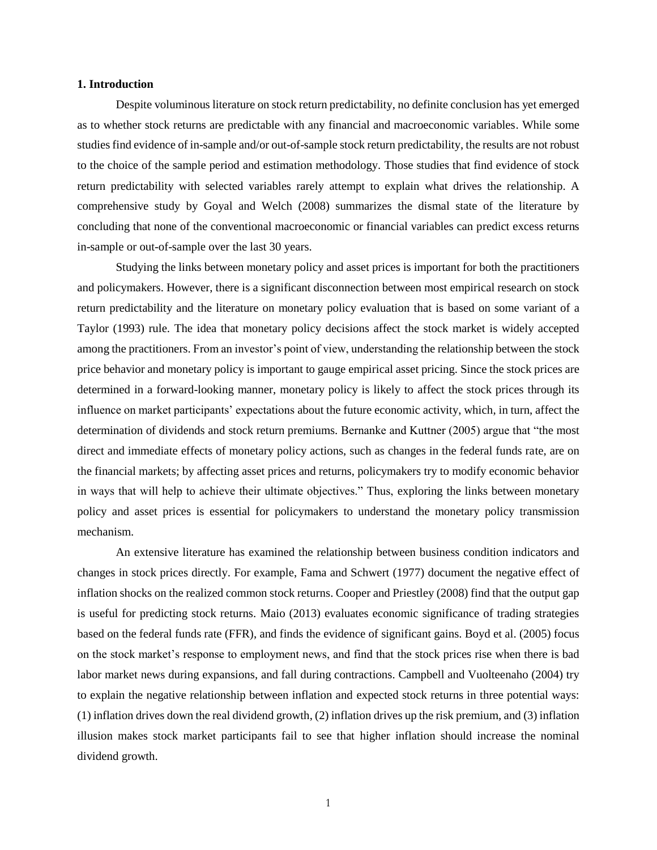#### **1. Introduction**

Despite voluminous literature on stock return predictability, no definite conclusion has yet emerged as to whether stock returns are predictable with any financial and macroeconomic variables. While some studies find evidence of in-sample and/or out-of-sample stock return predictability, the results are not robust to the choice of the sample period and estimation methodology. Those studies that find evidence of stock return predictability with selected variables rarely attempt to explain what drives the relationship. A comprehensive study by Goyal and Welch (2008) summarizes the dismal state of the literature by concluding that none of the conventional macroeconomic or financial variables can predict excess returns in-sample or out-of-sample over the last 30 years.

Studying the links between monetary policy and asset prices is important for both the practitioners and policymakers. However, there is a significant disconnection between most empirical research on stock return predictability and the literature on monetary policy evaluation that is based on some variant of a Taylor (1993) rule. The idea that monetary policy decisions affect the stock market is widely accepted among the practitioners. From an investor's point of view, understanding the relationship between the stock price behavior and monetary policy is important to gauge empirical asset pricing. Since the stock prices are determined in a forward-looking manner, monetary policy is likely to affect the stock prices through its influence on market participants' expectations about the future economic activity, which, in turn, affect the determination of dividends and stock return premiums. Bernanke and Kuttner (2005) argue that "the most direct and immediate effects of monetary policy actions, such as changes in the federal funds rate, are on the financial markets; by affecting asset prices and returns, policymakers try to modify economic behavior in ways that will help to achieve their ultimate objectives." Thus, exploring the links between monetary policy and asset prices is essential for policymakers to understand the monetary policy transmission mechanism.

An extensive literature has examined the relationship between business condition indicators and changes in stock prices directly. For example, Fama and Schwert (1977) document the negative effect of inflation shocks on the realized common stock returns. Cooper and Priestley (2008) find that the output gap is useful for predicting stock returns. Maio (2013) evaluates economic significance of trading strategies based on the federal funds rate (FFR), and finds the evidence of significant gains. Boyd et al. (2005) focus on the stock market's response to employment news, and find that the stock prices rise when there is bad labor market news during expansions, and fall during contractions. Campbell and Vuolteenaho (2004) try to explain the negative relationship between inflation and expected stock returns in three potential ways: (1) inflation drives down the real dividend growth, (2) inflation drives up the risk premium, and (3) inflation illusion makes stock market participants fail to see that higher inflation should increase the nominal dividend growth.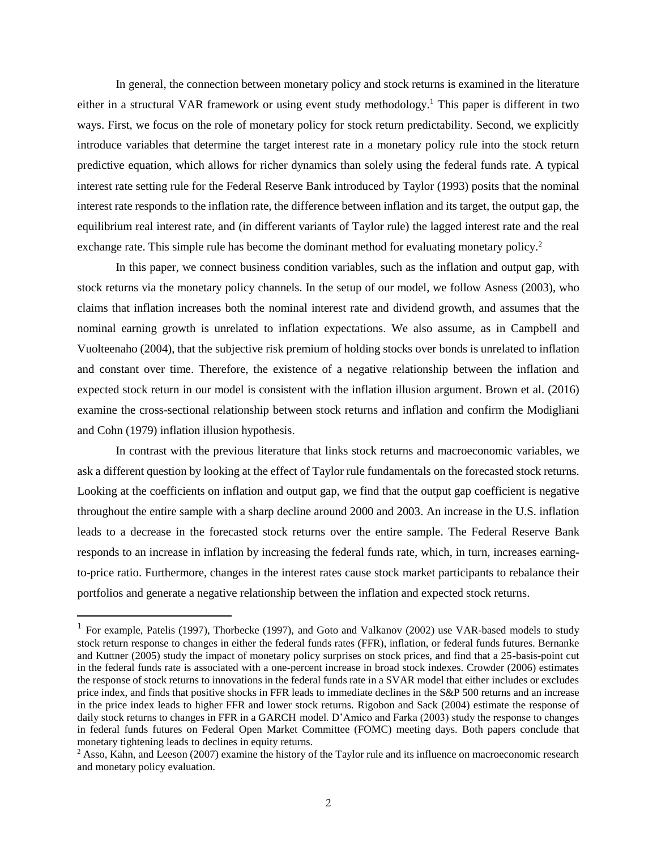In general, the connection between monetary policy and stock returns is examined in the literature either in a structural VAR framework or using event study methodology.<sup>1</sup> This paper is different in two ways. First, we focus on the role of monetary policy for stock return predictability. Second, we explicitly introduce variables that determine the target interest rate in a monetary policy rule into the stock return predictive equation, which allows for richer dynamics than solely using the federal funds rate. A typical interest rate setting rule for the Federal Reserve Bank introduced by Taylor (1993) posits that the nominal interest rate responds to the inflation rate, the difference between inflation and its target, the output gap, the equilibrium real interest rate, and (in different variants of Taylor rule) the lagged interest rate and the real exchange rate. This simple rule has become the dominant method for evaluating monetary policy.<sup>2</sup>

In this paper, we connect business condition variables, such as the inflation and output gap, with stock returns via the monetary policy channels. In the setup of our model, we follow Asness (2003), who claims that inflation increases both the nominal interest rate and dividend growth, and assumes that the nominal earning growth is unrelated to inflation expectations. We also assume, as in Campbell and Vuolteenaho (2004), that the subjective risk premium of holding stocks over bonds is unrelated to inflation and constant over time. Therefore, the existence of a negative relationship between the inflation and expected stock return in our model is consistent with the inflation illusion argument. Brown et al. (2016) examine the cross-sectional relationship between stock returns and inflation and confirm the Modigliani and Cohn (1979) inflation illusion hypothesis.

In contrast with the previous literature that links stock returns and macroeconomic variables, we ask a different question by looking at the effect of Taylor rule fundamentals on the forecasted stock returns. Looking at the coefficients on inflation and output gap, we find that the output gap coefficient is negative throughout the entire sample with a sharp decline around 2000 and 2003. An increase in the U.S. inflation leads to a decrease in the forecasted stock returns over the entire sample. The Federal Reserve Bank responds to an increase in inflation by increasing the federal funds rate, which, in turn, increases earningto-price ratio. Furthermore, changes in the interest rates cause stock market participants to rebalance their portfolios and generate a negative relationship between the inflation and expected stock returns.

<sup>&</sup>lt;sup>1</sup> For example, Patelis (1997), Thorbecke (1997), and Goto and Valkanov (2002) use VAR-based models to study stock return response to changes in either the federal funds rates (FFR), inflation, or federal funds futures. Bernanke and Kuttner (2005) study the impact of monetary policy surprises on stock prices, and find that a 25-basis-point cut in the federal funds rate is associated with a one-percent increase in broad stock indexes. Crowder (2006) estimates the response of stock returns to innovations in the federal funds rate in a SVAR model that either includes or excludes price index, and finds that positive shocks in FFR leads to immediate declines in the S&P 500 returns and an increase in the price index leads to higher FFR and lower stock returns. Rigobon and Sack (2004) estimate the response of daily stock returns to changes in FFR in a GARCH model. D'Amico and Farka (2003) study the response to changes in federal funds futures on Federal Open Market Committee (FOMC) meeting days. Both papers conclude that monetary tightening leads to declines in equity returns.

<sup>&</sup>lt;sup>2</sup> Asso, Kahn, and Leeson (2007) examine the history of the Taylor rule and its influence on macroeconomic research and monetary policy evaluation.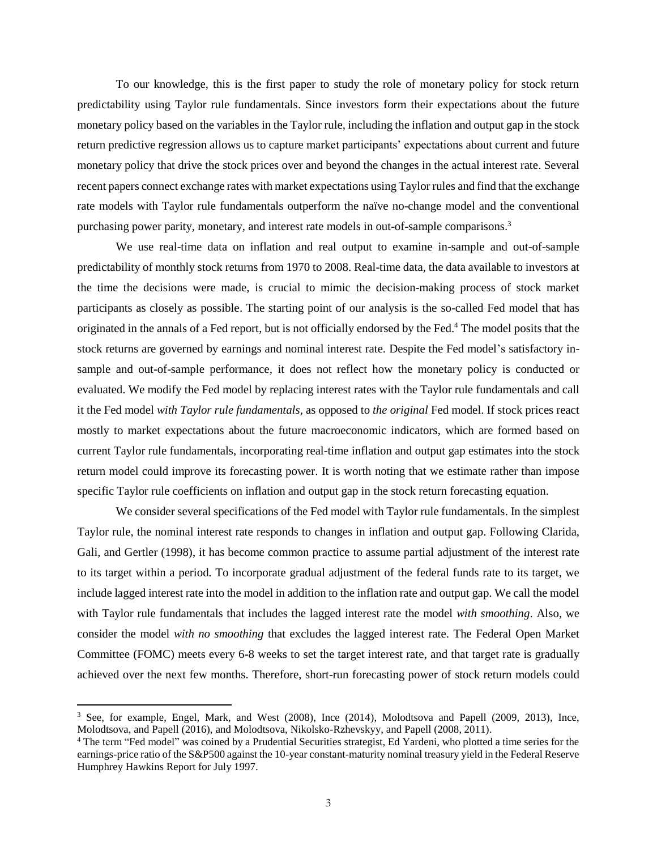To our knowledge, this is the first paper to study the role of monetary policy for stock return predictability using Taylor rule fundamentals. Since investors form their expectations about the future monetary policy based on the variables in the Taylor rule, including the inflation and output gap in the stock return predictive regression allows us to capture market participants' expectations about current and future monetary policy that drive the stock prices over and beyond the changes in the actual interest rate. Several recent papers connect exchange rates with market expectations using Taylor rules and find that the exchange rate models with Taylor rule fundamentals outperform the naïve no-change model and the conventional purchasing power parity, monetary, and interest rate models in out-of-sample comparisons.<sup>3</sup>

We use real-time data on inflation and real output to examine in-sample and out-of-sample predictability of monthly stock returns from 1970 to 2008. Real-time data, the data available to investors at the time the decisions were made, is crucial to mimic the decision-making process of stock market participants as closely as possible. The starting point of our analysis is the so-called Fed model that has originated in the annals of a Fed report, but is not officially endorsed by the Fed. <sup>4</sup> The model posits that the stock returns are governed by earnings and nominal interest rate. Despite the Fed model's satisfactory insample and out-of-sample performance, it does not reflect how the monetary policy is conducted or evaluated. We modify the Fed model by replacing interest rates with the Taylor rule fundamentals and call it the Fed model *with Taylor rule fundamentals,* as opposed to *the original* Fed model. If stock prices react mostly to market expectations about the future macroeconomic indicators, which are formed based on current Taylor rule fundamentals, incorporating real-time inflation and output gap estimates into the stock return model could improve its forecasting power. It is worth noting that we estimate rather than impose specific Taylor rule coefficients on inflation and output gap in the stock return forecasting equation.

We consider several specifications of the Fed model with Taylor rule fundamentals. In the simplest Taylor rule, the nominal interest rate responds to changes in inflation and output gap. Following Clarida, Gali, and Gertler (1998), it has become common practice to assume partial adjustment of the interest rate to its target within a period. To incorporate gradual adjustment of the federal funds rate to its target, we include lagged interest rate into the model in addition to the inflation rate and output gap. We call the model with Taylor rule fundamentals that includes the lagged interest rate the model *with smoothing*. Also, we consider the model *with no smoothing* that excludes the lagged interest rate. The Federal Open Market Committee (FOMC) meets every 6-8 weeks to set the target interest rate, and that target rate is gradually achieved over the next few months. Therefore, short-run forecasting power of stock return models could

<sup>3</sup> See, for example, Engel, Mark, and West (2008), Ince (2014), Molodtsova and Papell (2009, 2013), Ince, Molodtsova, and Papell (2016), and Molodtsova, Nikolsko-Rzhevskyy, and Papell (2008, 2011).

<sup>4</sup> The term "Fed model" was coined by a Prudential Securities strategist, Ed Yardeni, who plotted a time series for the earnings-price ratio of the S&P500 against the 10-year constant-maturity nominal treasury yield in the Federal Reserve Humphrey Hawkins Report for July 1997.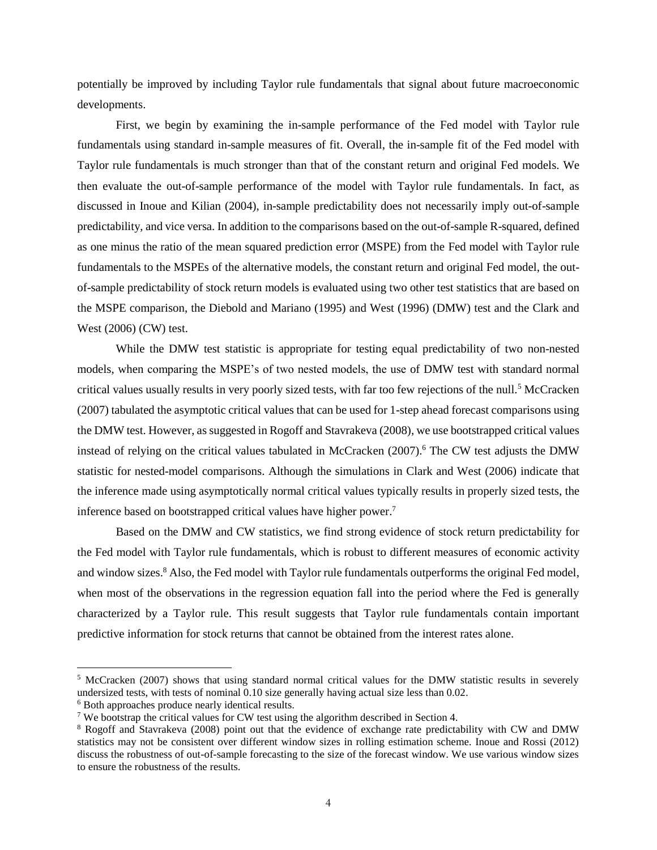potentially be improved by including Taylor rule fundamentals that signal about future macroeconomic developments.

First, we begin by examining the in-sample performance of the Fed model with Taylor rule fundamentals using standard in-sample measures of fit. Overall, the in-sample fit of the Fed model with Taylor rule fundamentals is much stronger than that of the constant return and original Fed models. We then evaluate the out-of-sample performance of the model with Taylor rule fundamentals. In fact, as discussed in Inoue and Kilian (2004), in-sample predictability does not necessarily imply out-of-sample predictability, and vice versa. In addition to the comparisons based on the out-of-sample R-squared, defined as one minus the ratio of the mean squared prediction error (MSPE) from the Fed model with Taylor rule fundamentals to the MSPEs of the alternative models, the constant return and original Fed model, the outof-sample predictability of stock return models is evaluated using two other test statistics that are based on the MSPE comparison, the Diebold and Mariano (1995) and West (1996) (DMW) test and the Clark and West (2006) (CW) test.

While the DMW test statistic is appropriate for testing equal predictability of two non-nested models, when comparing the MSPE's of two nested models, the use of DMW test with standard normal critical values usually results in very poorly sized tests, with far too few rejections of the null.<sup>5</sup> McCracken (2007) tabulated the asymptotic critical values that can be used for 1-step ahead forecast comparisons using the DMW test. However, as suggested in Rogoff and Stavrakeva (2008), we use bootstrapped critical values instead of relying on the critical values tabulated in McCracken (2007).<sup>6</sup> The CW test adjusts the DMW statistic for nested-model comparisons. Although the simulations in Clark and West (2006) indicate that the inference made using asymptotically normal critical values typically results in properly sized tests, the inference based on bootstrapped critical values have higher power. 7

Based on the DMW and CW statistics, we find strong evidence of stock return predictability for the Fed model with Taylor rule fundamentals, which is robust to different measures of economic activity and window sizes.<sup>8</sup> Also, the Fed model with Taylor rule fundamentals outperforms the original Fed model, when most of the observations in the regression equation fall into the period where the Fed is generally characterized by a Taylor rule. This result suggests that Taylor rule fundamentals contain important predictive information for stock returns that cannot be obtained from the interest rates alone.

<sup>5</sup> McCracken (2007) shows that using standard normal critical values for the DMW statistic results in severely undersized tests, with tests of nominal 0.10 size generally having actual size less than 0.02.

<sup>6</sup> Both approaches produce nearly identical results.

<sup>7</sup> We bootstrap the critical values for CW test using the algorithm described in Section 4.

<sup>8</sup> Rogoff and Stavrakeva (2008) point out that the evidence of exchange rate predictability with CW and DMW statistics may not be consistent over different window sizes in rolling estimation scheme. Inoue and Rossi (2012) discuss the robustness of out-of-sample forecasting to the size of the forecast window. We use various window sizes to ensure the robustness of the results.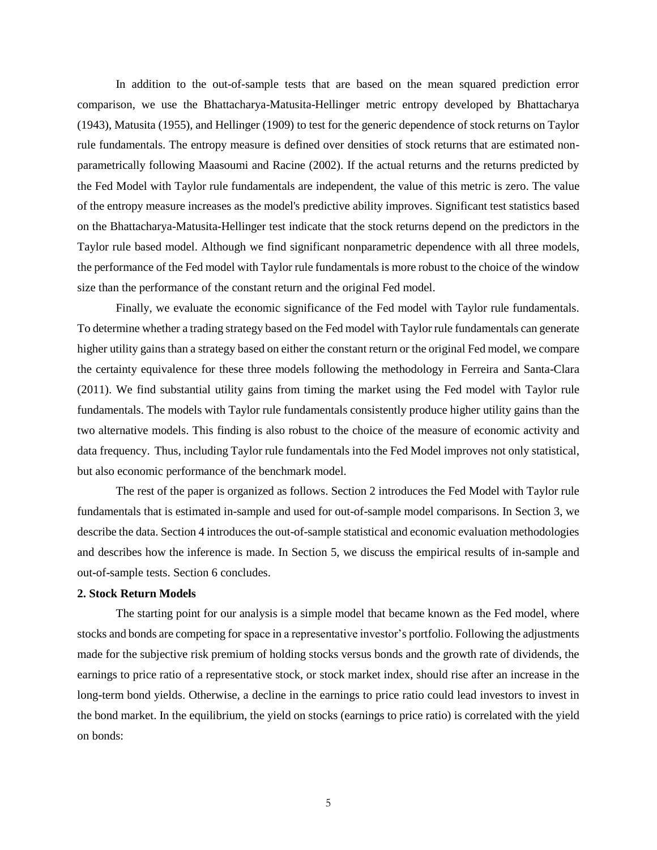In addition to the out-of-sample tests that are based on the mean squared prediction error comparison, we use the Bhattacharya-Matusita-Hellinger metric entropy developed by Bhattacharya (1943), Matusita (1955), and Hellinger (1909) to test for the generic dependence of stock returns on Taylor rule fundamentals. The entropy measure is defined over densities of stock returns that are estimated nonparametrically following Maasoumi and Racine (2002). If the actual returns and the returns predicted by the Fed Model with Taylor rule fundamentals are independent, the value of this metric is zero. The value of the entropy measure increases as the model's predictive ability improves. Significant test statistics based on the Bhattacharya-Matusita-Hellinger test indicate that the stock returns depend on the predictors in the Taylor rule based model. Although we find significant nonparametric dependence with all three models, the performance of the Fed model with Taylor rule fundamentals is more robust to the choice of the window size than the performance of the constant return and the original Fed model.

Finally, we evaluate the economic significance of the Fed model with Taylor rule fundamentals. To determine whether a trading strategy based on the Fed model with Taylor rule fundamentals can generate higher utility gains than a strategy based on either the constant return or the original Fed model, we compare the certainty equivalence for these three models following the methodology in Ferreira and Santa-Clara (2011). We find substantial utility gains from timing the market using the Fed model with Taylor rule fundamentals. The models with Taylor rule fundamentals consistently produce higher utility gains than the two alternative models. This finding is also robust to the choice of the measure of economic activity and data frequency. Thus, including Taylor rule fundamentals into the Fed Model improves not only statistical, but also economic performance of the benchmark model.

The rest of the paper is organized as follows. Section 2 introduces the Fed Model with Taylor rule fundamentals that is estimated in-sample and used for out-of-sample model comparisons. In Section 3, we describe the data. Section 4 introduces the out-of-sample statistical and economic evaluation methodologies and describes how the inference is made. In Section 5, we discuss the empirical results of in-sample and out-of-sample tests. Section 6 concludes.

#### **2. Stock Return Models**

The starting point for our analysis is a simple model that became known as the Fed model, where stocks and bonds are competing for space in a representative investor's portfolio. Following the adjustments made for the subjective risk premium of holding stocks versus bonds and the growth rate of dividends, the earnings to price ratio of a representative stock, or stock market index, should rise after an increase in the long-term bond yields. Otherwise, a decline in the earnings to price ratio could lead investors to invest in the bond market. In the equilibrium, the yield on stocks (earnings to price ratio) is correlated with the yield on bonds: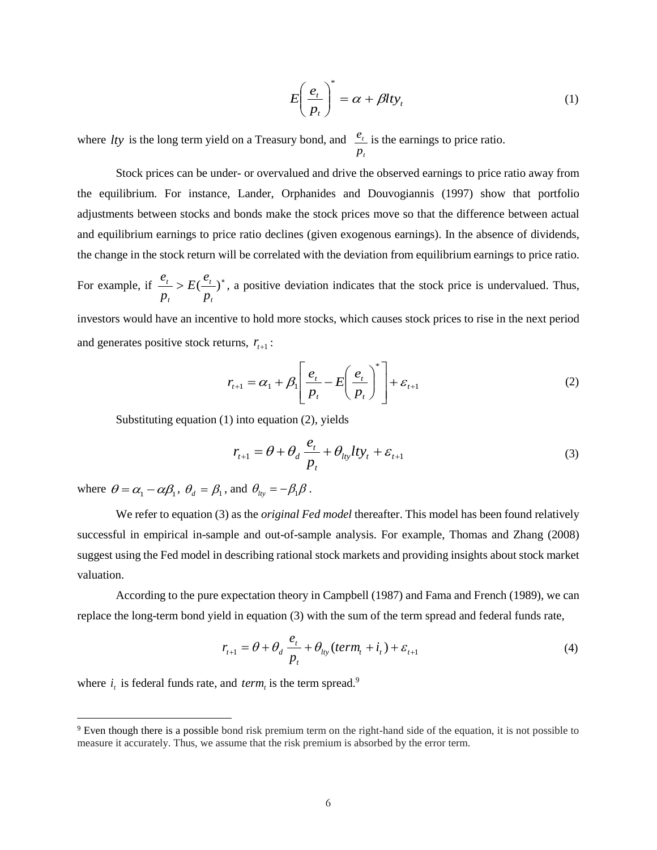$$
E\left(\frac{e_t}{p_t}\right)^* = \alpha + \beta l t y_t \tag{1}
$$

where *lty* is the long term yield on a Treasury bond, and *t t p*  $e_t$  is the earnings to price ratio.

Stock prices can be under- or overvalued and drive the observed earnings to price ratio away from the equilibrium. For instance, Lander, Orphanides and Douvogiannis (1997) show that portfolio adjustments between stocks and bonds make the stock prices move so that the difference between actual and equilibrium earnings to price ratio declines (given exogenous earnings). In the absence of dividends, the change in the stock return will be correlated with the deviation from equilibrium earnings to price ratio.

For example, if  $\frac{e_t}{e} > E(\frac{e_t}{e})^*$ *t t t t p*  $E(\frac{e}{\epsilon})$ *p*  $\frac{e_t}{f}$  >  $E(\frac{e_t}{f})^*$ , a positive deviation indicates that the stock price is undervalued. Thus,

investors would have an incentive to hold more stocks, which causes stock prices to rise in the next period and generates positive stock returns,  $r_{t+1}$ :

$$
r_{t+1} = \alpha_1 + \beta_1 \left[ \frac{e_t}{p_t} - E \left( \frac{e_t}{p_t} \right)^* \right] + \varepsilon_{t+1}
$$
 (2)

Substituting equation (1) into equation (2), yields

$$
r_{t+1} = \theta + \theta_d \frac{e_t}{p_t} + \theta_{lty} lty_t + \varepsilon_{t+1}
$$
\n(3)

where  $\theta = \alpha_1 - \alpha \beta_1$ ,  $\theta_d = \beta_1$ , and  $\theta_{lty} = -\beta_1 \beta$ .

We refer to equation (3) as the *original Fed model* thereafter. This model has been found relatively successful in empirical in-sample and out-of-sample analysis. For example, Thomas and Zhang (2008) suggest using the Fed model in describing rational stock markets and providing insights about stock market valuation.

According to the pure expectation theory in Campbell (1987) and Fama and French (1989), we can replace the long-term bond yield in equation (3) with the sum of the term spread and federal funds rate,

$$
r_{t+1} = \theta + \theta_d \frac{e_t}{p_t} + \theta_{lty}(term_t + i_t) + \varepsilon_{t+1}
$$
\n(4)

where  $i_i$  is federal funds rate, and  $term_i$  is the term spread.<sup>9</sup>

<sup>9</sup> Even though there is a possible bond risk premium term on the right-hand side of the equation, it is not possible to measure it accurately. Thus, we assume that the risk premium is absorbed by the error term.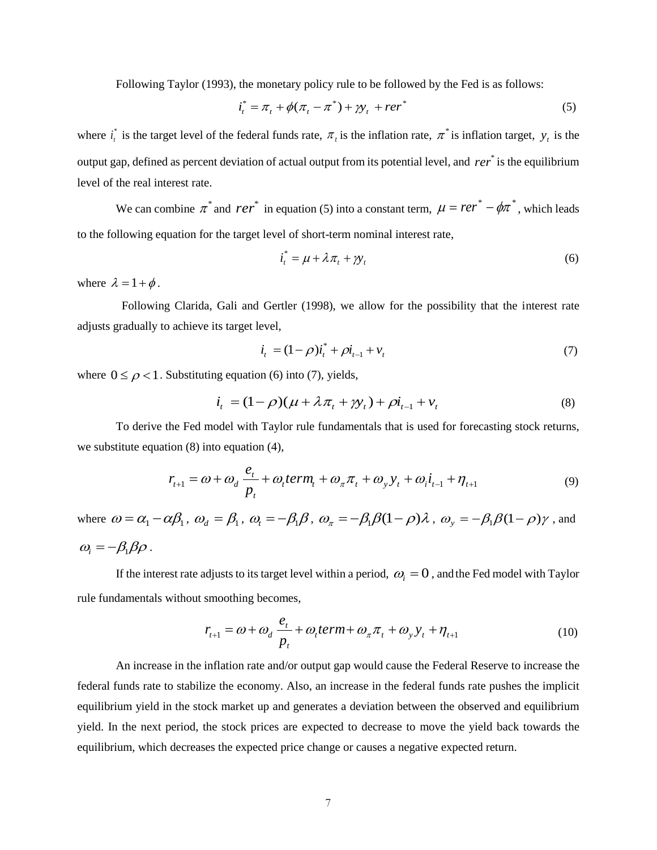Following Taylor (1993), the monetary policy rule to be followed by the Fed is as follows:

$$
i_t^* = \pi_t + \phi(\pi_t - \pi^*) + \gamma_t + r e^{i\pi}
$$
 (5)

where  $i^*$  $i_t^*$  is the target level of the federal funds rate,  $\pi_t$  is the inflation rate,  $\pi^*$  is inflation target,  $y_t$  is the output gap, defined as percent deviation of actual output from its potential level, and *rer*<sup>\*</sup> is the equilibrium level of the real interest rate.

We can combine  $\pi^*$  and  $rer^*$  in equation (5) into a constant term,  $\mu = rer^* - \phi \pi^*$ , which leads to the following equation for the target level of short-term nominal interest rate,

$$
i_t^* = \mu + \lambda \pi_t + \gamma y_t \tag{6}
$$

where  $\lambda = 1 + \phi$ .

 Following Clarida, Gali and Gertler (1998), we allow for the possibility that the interest rate adjusts gradually to achieve its target level,

$$
\dot{i}_t = (1 - \rho)\dot{i}_t^* + \rho \dot{i}_{t-1} + v_t \tag{7}
$$

where  $0 \le \rho < 1$ . Substituting equation (6) into (7), yields,

$$
i_t = (1 - \rho)(\mu + \lambda \pi_t + \gamma y_t) + \rho i_{t-1} + v_t
$$
\n(8)

To derive the Fed model with Taylor rule fundamentals that is used for forecasting stock returns, we substitute equation (8) into equation (4),

$$
r_{t+1} = \omega + \omega_d \frac{e_t}{p_t} + \omega_t \text{term}_t + \omega_\pi \pi_t + \omega_y y_t + \omega_i \dot{i}_{t-1} + \eta_{t+1}
$$
\n
$$
\tag{9}
$$

where  $\omega = \alpha_1 - \alpha \beta_1$ ,  $\omega_d = \beta_1$ ,  $\omega_t = -\beta_1 \beta$ ,  $\omega_\pi = -\beta_1 \beta (1 - \rho) \lambda$ ,  $\omega_y = -\beta_1 \beta (1 - \rho) \gamma$ , and  $\omega_i = -\beta_1 \beta \rho$ .

If the interest rate adjusts to its target level within a period,  $\omega_i = 0$  , and the Fed model with Taylor rule fundamentals without smoothing becomes,

$$
r_{t+1} = \omega + \omega_d \frac{e_t}{p_t} + \omega_t \text{term} + \omega_\pi \pi_t + \omega_y y_t + \eta_{t+1}
$$
 (10)

An increase in the inflation rate and/or output gap would cause the Federal Reserve to increase the federal funds rate to stabilize the economy. Also, an increase in the federal funds rate pushes the implicit equilibrium yield in the stock market up and generates a deviation between the observed and equilibrium yield. In the next period, the stock prices are expected to decrease to move the yield back towards the equilibrium, which decreases the expected price change or causes a negative expected return.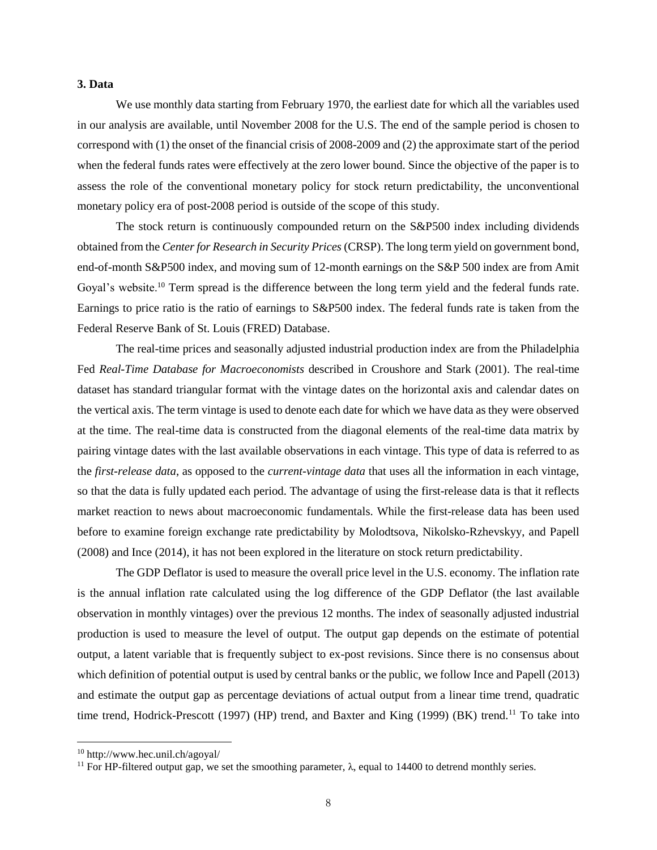#### **3. Data**

We use monthly data starting from February 1970, the earliest date for which all the variables used in our analysis are available, until November 2008 for the U.S. The end of the sample period is chosen to correspond with (1) the onset of the financial crisis of 2008-2009 and (2) the approximate start of the period when the federal funds rates were effectively at the zero lower bound. Since the objective of the paper is to assess the role of the conventional monetary policy for stock return predictability, the unconventional monetary policy era of post-2008 period is outside of the scope of this study.

The stock return is continuously compounded return on the S&P500 index including dividends obtained from the *Center for Research in Security Prices* (CRSP). The long term yield on government bond, end-of-month S&P500 index, and moving sum of 12-month earnings on the S&P 500 index are from Amit Goyal's website.<sup>10</sup> Term spread is the difference between the long term yield and the federal funds rate. Earnings to price ratio is the ratio of earnings to S&P500 index. The federal funds rate is taken from the Federal Reserve Bank of St. Louis (FRED) Database.

The real-time prices and seasonally adjusted industrial production index are from the Philadelphia Fed *Real-Time Database for Macroeconomists* described in Croushore and Stark (2001). The real-time dataset has standard triangular format with the vintage dates on the horizontal axis and calendar dates on the vertical axis. The term vintage is used to denote each date for which we have data as they were observed at the time. The real-time data is constructed from the diagonal elements of the real-time data matrix by pairing vintage dates with the last available observations in each vintage. This type of data is referred to as the *first-release data*, as opposed to the *current-vintage data* that uses all the information in each vintage, so that the data is fully updated each period. The advantage of using the first-release data is that it reflects market reaction to news about macroeconomic fundamentals. While the first-release data has been used before to examine foreign exchange rate predictability by Molodtsova, Nikolsko-Rzhevskyy, and Papell (2008) and Ince (2014), it has not been explored in the literature on stock return predictability.

The GDP Deflator is used to measure the overall price level in the U.S. economy. The inflation rate is the annual inflation rate calculated using the log difference of the GDP Deflator (the last available observation in monthly vintages) over the previous 12 months. The index of seasonally adjusted industrial production is used to measure the level of output. The output gap depends on the estimate of potential output, a latent variable that is frequently subject to ex-post revisions. Since there is no consensus about which definition of potential output is used by central banks or the public, we follow Ince and Papell (2013) and estimate the output gap as percentage deviations of actual output from a linear time trend, quadratic time trend, Hodrick-Prescott (1997) (HP) trend, and Baxter and King (1999) (BK) trend.<sup>11</sup> To take into

<sup>10</sup> http://www.hec.unil.ch/agoyal/

<sup>&</sup>lt;sup>11</sup> For HP-filtered output gap, we set the smoothing parameter,  $\lambda$ , equal to 14400 to detrend monthly series.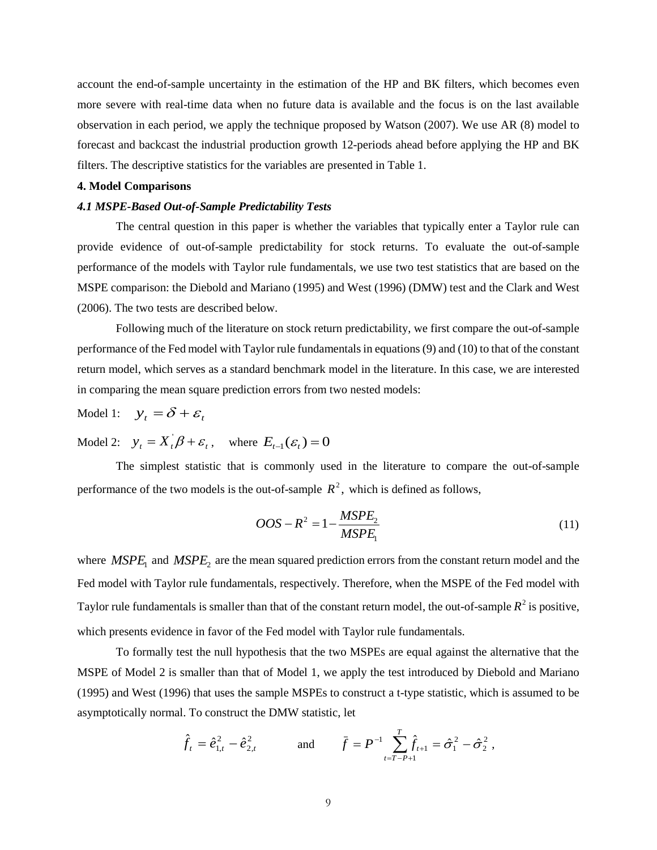account the end-of-sample uncertainty in the estimation of the HP and BK filters, which becomes even more severe with real-time data when no future data is available and the focus is on the last available observation in each period, we apply the technique proposed by Watson (2007). We use AR (8) model to forecast and backcast the industrial production growth 12-periods ahead before applying the HP and BK filters. The descriptive statistics for the variables are presented in Table 1.

#### **4. Model Comparisons**

#### *4.1 MSPE-Based Out-of-Sample Predictability Tests*

The central question in this paper is whether the variables that typically enter a Taylor rule can provide evidence of out-of-sample predictability for stock returns. To evaluate the out-of-sample performance of the models with Taylor rule fundamentals, we use two test statistics that are based on the MSPE comparison: the Diebold and Mariano (1995) and West (1996) (DMW) test and the Clark and West (2006). The two tests are described below.

Following much of the literature on stock return predictability, we first compare the out-of-sample performance of the Fed model with Taylor rule fundamentalsin equations (9) and (10) to that of the constant return model, which serves as a standard benchmark model in the literature. In this case, we are interested in comparing the mean square prediction errors from two nested models:

Model 1:  $y_t = \delta + \varepsilon_t$ 

Model 2:  $y_t = X_t \beta + \varepsilon_t$ , where  $E_{t-1}(\varepsilon_t) = 0$ 

The simplest statistic that is commonly used in the literature to compare the out-of-sample performance of the two models is the out-of-sample  $R^2$ , which is defined as follows,

$$
OOS - R^2 = 1 - \frac{MSPE_2}{MSPE_1}
$$
\n<sup>(11)</sup>

where  $MSPE_1$  and  $MSPE_2$  are the mean squared prediction errors from the constant return model and the Fed model with Taylor rule fundamentals, respectively. Therefore, when the MSPE of the Fed model with Taylor rule fundamentals is smaller than that of the constant return model, the out-of-sample  $R^2$  is positive, which presents evidence in favor of the Fed model with Taylor rule fundamentals.

To formally test the null hypothesis that the two MSPEs are equal against the alternative that the MSPE of Model 2 is smaller than that of Model 1, we apply the test introduced by Diebold and Mariano (1995) and West (1996) that uses the sample MSPEs to construct a t-type statistic, which is assumed to be asymptotically normal. To construct the DMW statistic, let

$$
\hat{f}_t = \hat{e}_{1,t}^2 - \hat{e}_{2,t}^2
$$
 and  $\bar{f} = P^{-1} \sum_{t=T-P+1}^T \hat{f}_{t+1} = \hat{\sigma}_1^2 - \hat{\sigma}_2^2$ ,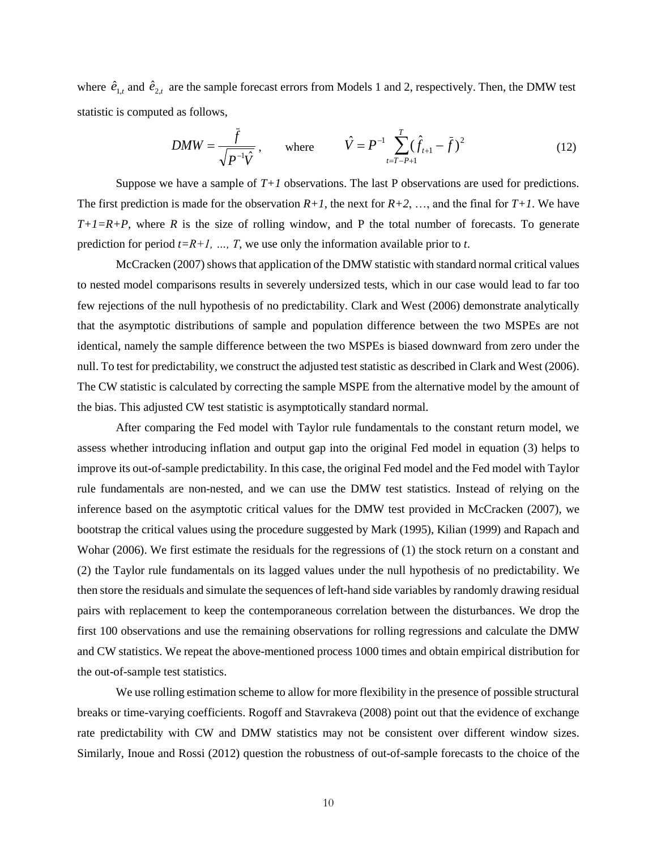where  $\hat{e}_{1,t}$  and  $\hat{e}_{2,t}$  are the sample forecast errors from Models 1 and 2, respectively. Then, the DMW test statistic is computed as follows,

$$
DMW = \frac{\bar{f}}{\sqrt{P^{-1}\hat{V}}}, \quad \text{where} \quad \hat{V} = P^{-1} \sum_{t=T-P+1}^{T} (\hat{f}_{t+1} - \bar{f})^2
$$
 (12)

Suppose we have a sample of  $T+1$  observations. The last P observations are used for predictions. The first prediction is made for the observation  $R+1$ , the next for  $R+2$ , ..., and the final for  $T+1$ . We have  $T+I=R+P$ , where *R* is the size of rolling window, and P the total number of forecasts. To generate prediction for period  $t=R+1$ , ..., T, we use only the information available prior to *t*.

McCracken (2007) shows that application of the DMW statistic with standard normal critical values to nested model comparisons results in severely undersized tests, which in our case would lead to far too few rejections of the null hypothesis of no predictability. Clark and West (2006) demonstrate analytically that the asymptotic distributions of sample and population difference between the two MSPEs are not identical, namely the sample difference between the two MSPEs is biased downward from zero under the null. To test for predictability, we construct the adjusted test statistic as described in Clark and West (2006). The CW statistic is calculated by correcting the sample MSPE from the alternative model by the amount of the bias. This adjusted CW test statistic is asymptotically standard normal.

After comparing the Fed model with Taylor rule fundamentals to the constant return model, we assess whether introducing inflation and output gap into the original Fed model in equation (3) helps to improve its out-of-sample predictability. In this case, the original Fed model and the Fed model with Taylor rule fundamentals are non-nested, and we can use the DMW test statistics. Instead of relying on the inference based on the asymptotic critical values for the DMW test provided in McCracken (2007), we bootstrap the critical values using the procedure suggested by Mark (1995), Kilian (1999) and Rapach and Wohar (2006). We first estimate the residuals for the regressions of (1) the stock return on a constant and (2) the Taylor rule fundamentals on its lagged values under the null hypothesis of no predictability. We then store the residuals and simulate the sequences of left-hand side variables by randomly drawing residual pairs with replacement to keep the contemporaneous correlation between the disturbances. We drop the first 100 observations and use the remaining observations for rolling regressions and calculate the DMW and CW statistics. We repeat the above-mentioned process 1000 times and obtain empirical distribution for the out-of-sample test statistics.

We use rolling estimation scheme to allow for more flexibility in the presence of possible structural breaks or time-varying coefficients. Rogoff and Stavrakeva (2008) point out that the evidence of exchange rate predictability with CW and DMW statistics may not be consistent over different window sizes. Similarly, Inoue and Rossi (2012) question the robustness of out-of-sample forecasts to the choice of the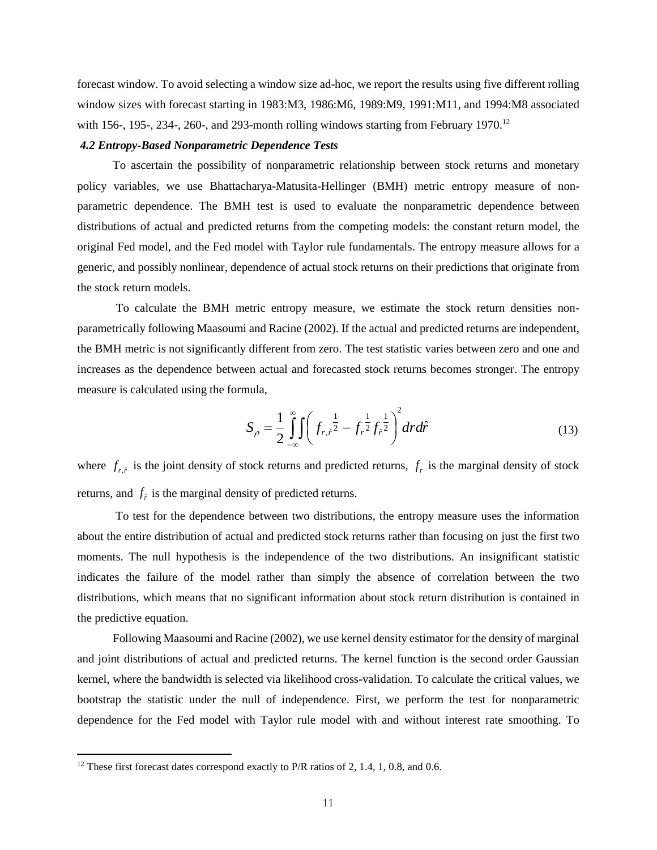forecast window. To avoid selecting a window size ad-hoc, we report the results using five different rolling window sizes with forecast starting in 1983:M3, 1986:M6, 1989:M9, 1991:M11, and 1994:M8 associated with 156-, 195-, 234-, 260-, and 293-month rolling windows starting from February 1970.<sup>12</sup>

#### *4.2 Entropy-Based Nonparametric Dependence Tests*

 To ascertain the possibility of nonparametric relationship between stock returns and monetary policy variables, we use Bhattacharya-Matusita-Hellinger (BMH) metric entropy measure of nonparametric dependence. The BMH test is used to evaluate the nonparametric dependence between distributions of actual and predicted returns from the competing models: the constant return model, the original Fed model, and the Fed model with Taylor rule fundamentals. The entropy measure allows for a generic, and possibly nonlinear, dependence of actual stock returns on their predictions that originate from the stock return models.

To calculate the BMH metric entropy measure, we estimate the stock return densities nonparametrically following Maasoumi and Racine (2002). If the actual and predicted returns are independent, the BMH metric is not significantly different from zero. The test statistic varies between zero and one and increases as the dependence between actual and forecasted stock returns becomes stronger. The entropy measure is calculated using the formula,

$$
S_{\rho} = \frac{1}{2} \int_{-\infty}^{\infty} \int \left( f_{r,\hat{r}} \frac{1}{2} - f_{r} \frac{1}{2} f_{\hat{r}} \frac{1}{2} \right)^{2} dr d\hat{r}
$$
 (13)

where  $f_{r,\hat{r}}$  is the joint density of stock returns and predicted returns,  $f_r$  is the marginal density of stock returns, and  $f<sub>f</sub>$  is the marginal density of predicted returns.

 To test for the dependence between two distributions, the entropy measure uses the information about the entire distribution of actual and predicted stock returns rather than focusing on just the first two moments. The null hypothesis is the independence of the two distributions. An insignificant statistic indicates the failure of the model rather than simply the absence of correlation between the two distributions, which means that no significant information about stock return distribution is contained in the predictive equation.

 Following Maasoumi and Racine (2002), we use kernel density estimator for the density of marginal and joint distributions of actual and predicted returns. The kernel function is the second order Gaussian kernel, where the bandwidth is selected via likelihood cross-validation. To calculate the critical values, we bootstrap the statistic under the null of independence. First, we perform the test for nonparametric dependence for the Fed model with Taylor rule model with and without interest rate smoothing. To

 $12$  These first forecast dates correspond exactly to P/R ratios of 2, 1.4, 1, 0.8, and 0.6.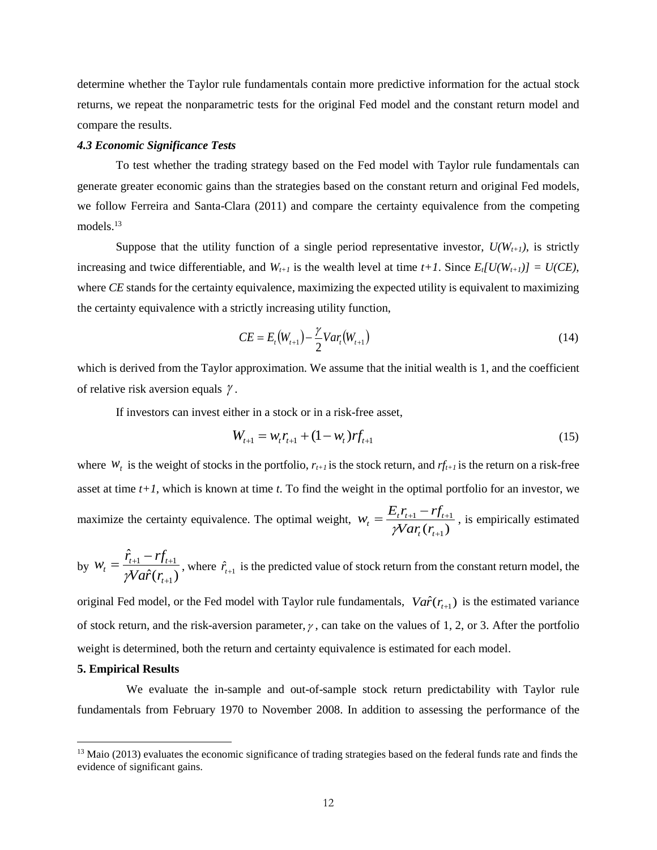determine whether the Taylor rule fundamentals contain more predictive information for the actual stock returns, we repeat the nonparametric tests for the original Fed model and the constant return model and compare the results.

#### *4.3 Economic Significance Tests*

To test whether the trading strategy based on the Fed model with Taylor rule fundamentals can generate greater economic gains than the strategies based on the constant return and original Fed models, we follow Ferreira and Santa-Clara (2011) and compare the certainty equivalence from the competing models.<sup>13</sup>

Suppose that the utility function of a single period representative investor,  $U(W_{t+1})$ , is strictly increasing and twice differentiable, and  $W_{t+1}$  is the wealth level at time  $t+1$ . Since  $E_t[U(W_{t+1})] = U(CE)$ , where *CE* stands for the certainty equivalence, maximizing the expected utility is equivalent to maximizing the certainty equivalence with a strictly increasing utility function,

$$
CE = E_t(W_{t+1}) - \frac{\gamma}{2}Var_t(W_{t+1})
$$
\n(14)

which is derived from the Taylor approximation. We assume that the initial wealth is 1, and the coefficient of relative risk aversion equals  $\gamma$ .

If investors can invest either in a stock or in a risk-free asset,

$$
W_{t+1} = w_t r_{t+1} + (1 - w_t) r f_{t+1}
$$
\n(15)

where  $W_t$  is the weight of stocks in the portfolio,  $r_{t+1}$  is the stock return, and  $r_{t+1}$  is the return on a risk-free asset at time *t+1*, which is known at time *t*. To find the weight in the optimal portfolio for an investor, we maximize the certainty equivalence. The optimal weight,  $w_t = \frac{\sum_{t} r_{t+1}}{\gamma Var_t(r_{t+1})}$  $I_1 - I_1 I_{t+1}$  $^{+}$  $=\frac{E_{t}r_{t+1}-rf_{t+}}{2}$  $t^{l}$  $\gamma_t = \frac{E_t I_{t+1} - I J_t}{\gamma Var_t(r_{t+1})}$  $W_t = \frac{E_t r_{t+1} - rf}{\sum_{i=1}^{t} f_i}$ γ , is empirically estimated

by 
$$
W_t = \frac{\hat{r}_{t+1} - rf_{t+1}}{\gamma Va\hat{r}(r_{t+1})}
$$
, where  $\hat{r}_{t+1}$  is the predicted value of stock return from the constant return model, the

original Fed model, or the Fed model with Taylor rule fundamentals,  $Va\hat{r}(r_{t+1})$  is the estimated variance of stock return, and the risk-aversion parameter,  $\gamma$ , can take on the values of 1, 2, or 3. After the portfolio weight is determined, both the return and certainty equivalence is estimated for each model.

#### **5. Empirical Results**

 $\overline{a}$ 

We evaluate the in-sample and out-of-sample stock return predictability with Taylor rule fundamentals from February 1970 to November 2008. In addition to assessing the performance of the

 $13$  Maio (2013) evaluates the economic significance of trading strategies based on the federal funds rate and finds the evidence of significant gains.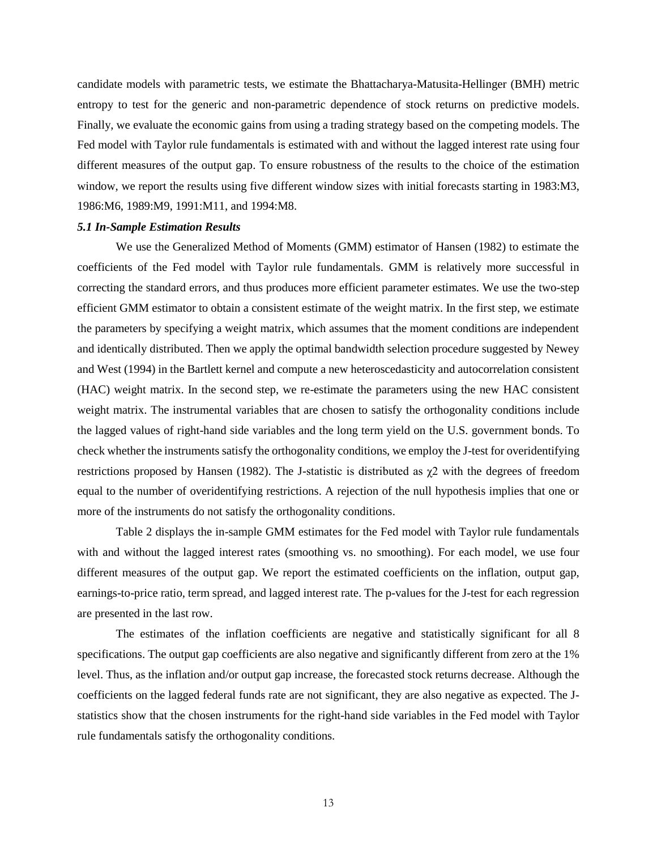candidate models with parametric tests, we estimate the Bhattacharya-Matusita-Hellinger (BMH) metric entropy to test for the generic and non-parametric dependence of stock returns on predictive models. Finally, we evaluate the economic gains from using a trading strategy based on the competing models. The Fed model with Taylor rule fundamentals is estimated with and without the lagged interest rate using four different measures of the output gap. To ensure robustness of the results to the choice of the estimation window, we report the results using five different window sizes with initial forecasts starting in 1983:M3, 1986:M6, 1989:M9, 1991:M11, and 1994:M8.

#### *5.1 In-Sample Estimation Results*

We use the Generalized Method of Moments (GMM) estimator of Hansen (1982) to estimate the coefficients of the Fed model with Taylor rule fundamentals. GMM is relatively more successful in correcting the standard errors, and thus produces more efficient parameter estimates. We use the two-step efficient GMM estimator to obtain a consistent estimate of the weight matrix. In the first step, we estimate the parameters by specifying a weight matrix, which assumes that the moment conditions are independent and identically distributed. Then we apply the optimal bandwidth selection procedure suggested by Newey and West (1994) in the Bartlett kernel and compute a new heteroscedasticity and autocorrelation consistent (HAC) weight matrix. In the second step, we re-estimate the parameters using the new HAC consistent weight matrix. The instrumental variables that are chosen to satisfy the orthogonality conditions include the lagged values of right-hand side variables and the long term yield on the U.S. government bonds. To check whether the instruments satisfy the orthogonality conditions, we employ the J-test for overidentifying restrictions proposed by Hansen (1982). The J-statistic is distributed as χ2 with the degrees of freedom equal to the number of overidentifying restrictions. A rejection of the null hypothesis implies that one or more of the instruments do not satisfy the orthogonality conditions.

Table 2 displays the in-sample GMM estimates for the Fed model with Taylor rule fundamentals with and without the lagged interest rates (smoothing vs. no smoothing). For each model, we use four different measures of the output gap. We report the estimated coefficients on the inflation, output gap, earnings-to-price ratio, term spread, and lagged interest rate. The p-values for the J-test for each regression are presented in the last row.

The estimates of the inflation coefficients are negative and statistically significant for all 8 specifications. The output gap coefficients are also negative and significantly different from zero at the 1% level. Thus, as the inflation and/or output gap increase, the forecasted stock returns decrease. Although the coefficients on the lagged federal funds rate are not significant, they are also negative as expected. The Jstatistics show that the chosen instruments for the right-hand side variables in the Fed model with Taylor rule fundamentals satisfy the orthogonality conditions.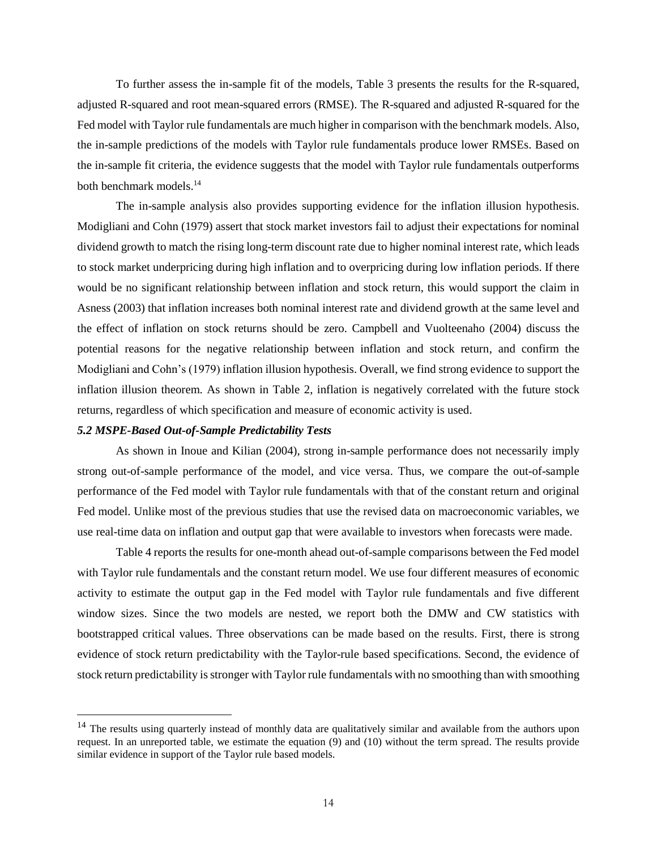To further assess the in-sample fit of the models, Table 3 presents the results for the R-squared, adjusted R-squared and root mean-squared errors (RMSE). The R-squared and adjusted R-squared for the Fed model with Taylor rule fundamentals are much higher in comparison with the benchmark models. Also, the in-sample predictions of the models with Taylor rule fundamentals produce lower RMSEs. Based on the in-sample fit criteria, the evidence suggests that the model with Taylor rule fundamentals outperforms both benchmark models. 14

The in-sample analysis also provides supporting evidence for the inflation illusion hypothesis. Modigliani and Cohn (1979) assert that stock market investors fail to adjust their expectations for nominal dividend growth to match the rising long-term discount rate due to higher nominal interest rate, which leads to stock market underpricing during high inflation and to overpricing during low inflation periods. If there would be no significant relationship between inflation and stock return, this would support the claim in Asness (2003) that inflation increases both nominal interest rate and dividend growth at the same level and the effect of inflation on stock returns should be zero. Campbell and Vuolteenaho (2004) discuss the potential reasons for the negative relationship between inflation and stock return, and confirm the Modigliani and Cohn's (1979) inflation illusion hypothesis. Overall, we find strong evidence to support the inflation illusion theorem. As shown in Table 2, inflation is negatively correlated with the future stock returns, regardless of which specification and measure of economic activity is used.

#### *5.2 MSPE-Based Out-of-Sample Predictability Tests*

 $\overline{a}$ 

As shown in Inoue and Kilian (2004), strong in-sample performance does not necessarily imply strong out-of-sample performance of the model, and vice versa. Thus, we compare the out-of-sample performance of the Fed model with Taylor rule fundamentals with that of the constant return and original Fed model. Unlike most of the previous studies that use the revised data on macroeconomic variables, we use real-time data on inflation and output gap that were available to investors when forecasts were made.

Table 4 reports the results for one-month ahead out-of-sample comparisons between the Fed model with Taylor rule fundamentals and the constant return model. We use four different measures of economic activity to estimate the output gap in the Fed model with Taylor rule fundamentals and five different window sizes. Since the two models are nested, we report both the DMW and CW statistics with bootstrapped critical values. Three observations can be made based on the results. First, there is strong evidence of stock return predictability with the Taylor-rule based specifications. Second, the evidence of stock return predictability is stronger with Taylor rule fundamentals with no smoothing than with smoothing

<sup>&</sup>lt;sup>14</sup> The results using quarterly instead of monthly data are qualitatively similar and available from the authors upon request. In an unreported table, we estimate the equation (9) and (10) without the term spread. The results provide similar evidence in support of the Taylor rule based models.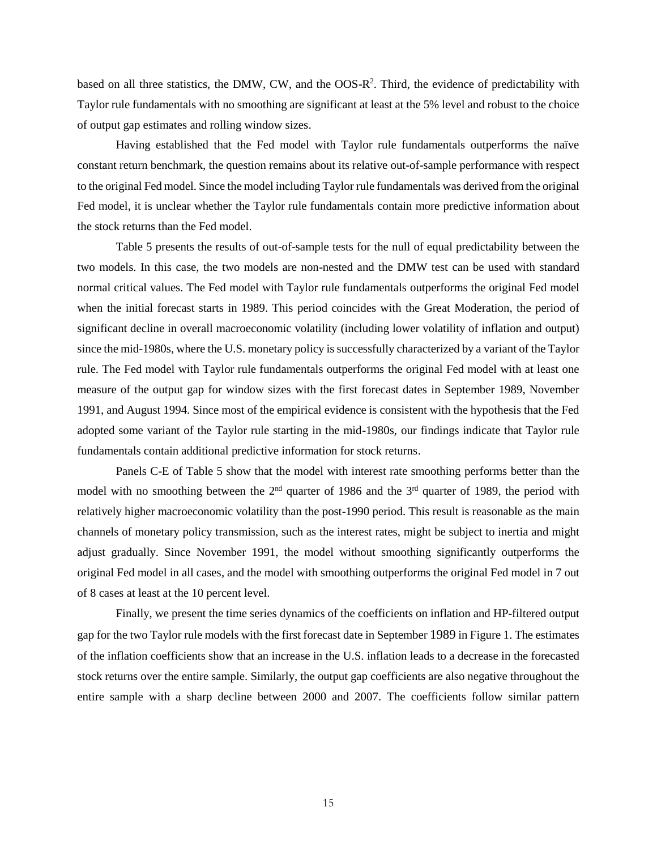based on all three statistics, the DMW, CW, and the OOS-R<sup>2</sup>. Third, the evidence of predictability with Taylor rule fundamentals with no smoothing are significant at least at the 5% level and robust to the choice of output gap estimates and rolling window sizes.

Having established that the Fed model with Taylor rule fundamentals outperforms the naïve constant return benchmark, the question remains about its relative out-of-sample performance with respect to the original Fed model. Since the model including Taylor rule fundamentals was derived from the original Fed model, it is unclear whether the Taylor rule fundamentals contain more predictive information about the stock returns than the Fed model.

Table 5 presents the results of out-of-sample tests for the null of equal predictability between the two models. In this case, the two models are non-nested and the DMW test can be used with standard normal critical values. The Fed model with Taylor rule fundamentals outperforms the original Fed model when the initial forecast starts in 1989. This period coincides with the Great Moderation, the period of significant decline in overall macroeconomic volatility (including lower volatility of inflation and output) since the mid-1980s, where the U.S. monetary policy is successfully characterized by a variant of the Taylor rule. The Fed model with Taylor rule fundamentals outperforms the original Fed model with at least one measure of the output gap for window sizes with the first forecast dates in September 1989, November 1991, and August 1994. Since most of the empirical evidence is consistent with the hypothesis that the Fed adopted some variant of the Taylor rule starting in the mid-1980s, our findings indicate that Taylor rule fundamentals contain additional predictive information for stock returns.

Panels C-E of Table 5 show that the model with interest rate smoothing performs better than the model with no smoothing between the  $2<sup>nd</sup>$  quarter of 1986 and the  $3<sup>rd</sup>$  quarter of 1989, the period with relatively higher macroeconomic volatility than the post-1990 period. This result is reasonable as the main channels of monetary policy transmission, such as the interest rates, might be subject to inertia and might adjust gradually. Since November 1991, the model without smoothing significantly outperforms the original Fed model in all cases, and the model with smoothing outperforms the original Fed model in 7 out of 8 cases at least at the 10 percent level.

Finally, we present the time series dynamics of the coefficients on inflation and HP-filtered output gap for the two Taylor rule models with the first forecast date in September 1989 in Figure 1. The estimates of the inflation coefficients show that an increase in the U.S. inflation leads to a decrease in the forecasted stock returns over the entire sample. Similarly, the output gap coefficients are also negative throughout the entire sample with a sharp decline between 2000 and 2007. The coefficients follow similar pattern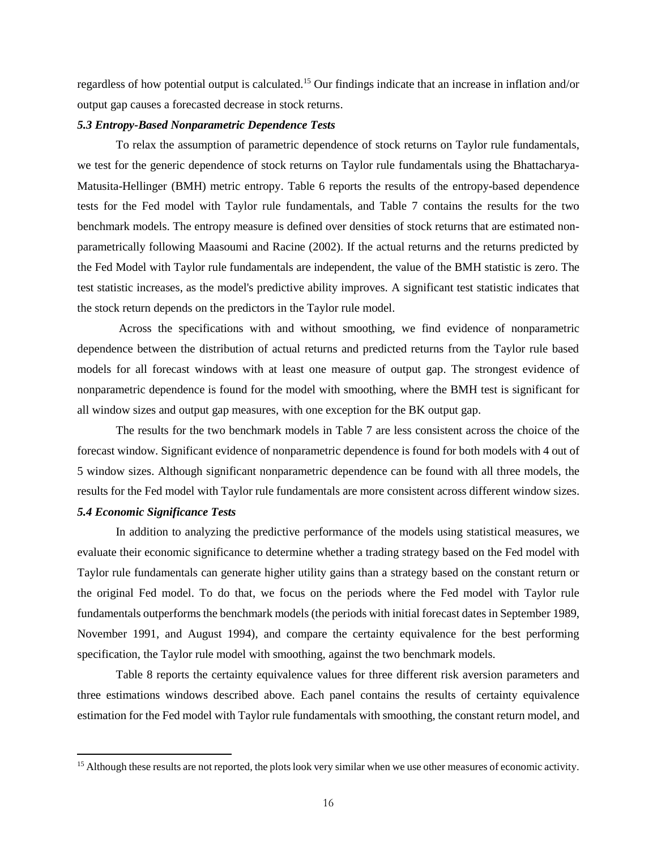regardless of how potential output is calculated.<sup>15</sup> Our findings indicate that an increase in inflation and/or output gap causes a forecasted decrease in stock returns.

#### *5.3 Entropy-Based Nonparametric Dependence Tests*

To relax the assumption of parametric dependence of stock returns on Taylor rule fundamentals, we test for the generic dependence of stock returns on Taylor rule fundamentals using the Bhattacharya-Matusita-Hellinger (BMH) metric entropy. Table 6 reports the results of the entropy-based dependence tests for the Fed model with Taylor rule fundamentals, and Table 7 contains the results for the two benchmark models. The entropy measure is defined over densities of stock returns that are estimated nonparametrically following Maasoumi and Racine (2002). If the actual returns and the returns predicted by the Fed Model with Taylor rule fundamentals are independent, the value of the BMH statistic is zero. The test statistic increases, as the model's predictive ability improves. A significant test statistic indicates that the stock return depends on the predictors in the Taylor rule model.

Across the specifications with and without smoothing, we find evidence of nonparametric dependence between the distribution of actual returns and predicted returns from the Taylor rule based models for all forecast windows with at least one measure of output gap. The strongest evidence of nonparametric dependence is found for the model with smoothing, where the BMH test is significant for all window sizes and output gap measures, with one exception for the BK output gap.

The results for the two benchmark models in Table 7 are less consistent across the choice of the forecast window. Significant evidence of nonparametric dependence is found for both models with 4 out of 5 window sizes. Although significant nonparametric dependence can be found with all three models, the results for the Fed model with Taylor rule fundamentals are more consistent across different window sizes.

## *5.4 Economic Significance Tests*

 $\overline{a}$ 

In addition to analyzing the predictive performance of the models using statistical measures, we evaluate their economic significance to determine whether a trading strategy based on the Fed model with Taylor rule fundamentals can generate higher utility gains than a strategy based on the constant return or the original Fed model. To do that, we focus on the periods where the Fed model with Taylor rule fundamentals outperforms the benchmark models (the periods with initial forecast dates in September 1989, November 1991, and August 1994), and compare the certainty equivalence for the best performing specification, the Taylor rule model with smoothing, against the two benchmark models.

Table 8 reports the certainty equivalence values for three different risk aversion parameters and three estimations windows described above. Each panel contains the results of certainty equivalence estimation for the Fed model with Taylor rule fundamentals with smoothing, the constant return model, and

<sup>&</sup>lt;sup>15</sup> Although these results are not reported, the plots look very similar when we use other measures of economic activity.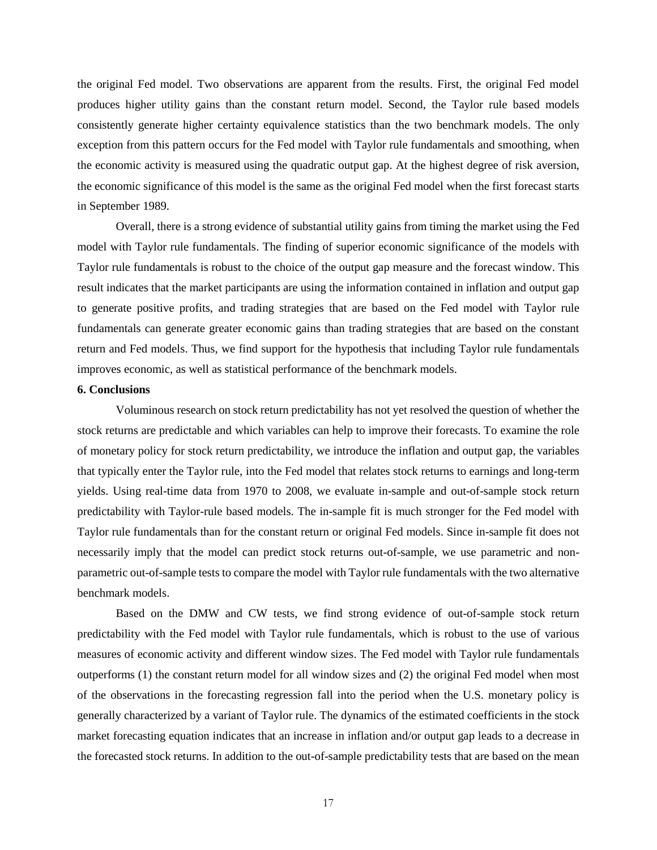the original Fed model. Two observations are apparent from the results. First, the original Fed model produces higher utility gains than the constant return model. Second, the Taylor rule based models consistently generate higher certainty equivalence statistics than the two benchmark models. The only exception from this pattern occurs for the Fed model with Taylor rule fundamentals and smoothing, when the economic activity is measured using the quadratic output gap. At the highest degree of risk aversion, the economic significance of this model is the same as the original Fed model when the first forecast starts in September 1989.

Overall, there is a strong evidence of substantial utility gains from timing the market using the Fed model with Taylor rule fundamentals. The finding of superior economic significance of the models with Taylor rule fundamentals is robust to the choice of the output gap measure and the forecast window. This result indicates that the market participants are using the information contained in inflation and output gap to generate positive profits, and trading strategies that are based on the Fed model with Taylor rule fundamentals can generate greater economic gains than trading strategies that are based on the constant return and Fed models. Thus, we find support for the hypothesis that including Taylor rule fundamentals improves economic, as well as statistical performance of the benchmark models.

#### **6. Conclusions**

Voluminous research on stock return predictability has not yet resolved the question of whether the stock returns are predictable and which variables can help to improve their forecasts. To examine the role of monetary policy for stock return predictability, we introduce the inflation and output gap, the variables that typically enter the Taylor rule, into the Fed model that relates stock returns to earnings and long-term yields. Using real-time data from 1970 to 2008, we evaluate in-sample and out-of-sample stock return predictability with Taylor-rule based models. The in-sample fit is much stronger for the Fed model with Taylor rule fundamentals than for the constant return or original Fed models. Since in-sample fit does not necessarily imply that the model can predict stock returns out-of-sample, we use parametric and nonparametric out-of-sample tests to compare the model with Taylor rule fundamentals with the two alternative benchmark models.

Based on the DMW and CW tests, we find strong evidence of out-of-sample stock return predictability with the Fed model with Taylor rule fundamentals, which is robust to the use of various measures of economic activity and different window sizes. The Fed model with Taylor rule fundamentals outperforms (1) the constant return model for all window sizes and (2) the original Fed model when most of the observations in the forecasting regression fall into the period when the U.S. monetary policy is generally characterized by a variant of Taylor rule. The dynamics of the estimated coefficients in the stock market forecasting equation indicates that an increase in inflation and/or output gap leads to a decrease in the forecasted stock returns. In addition to the out-of-sample predictability tests that are based on the mean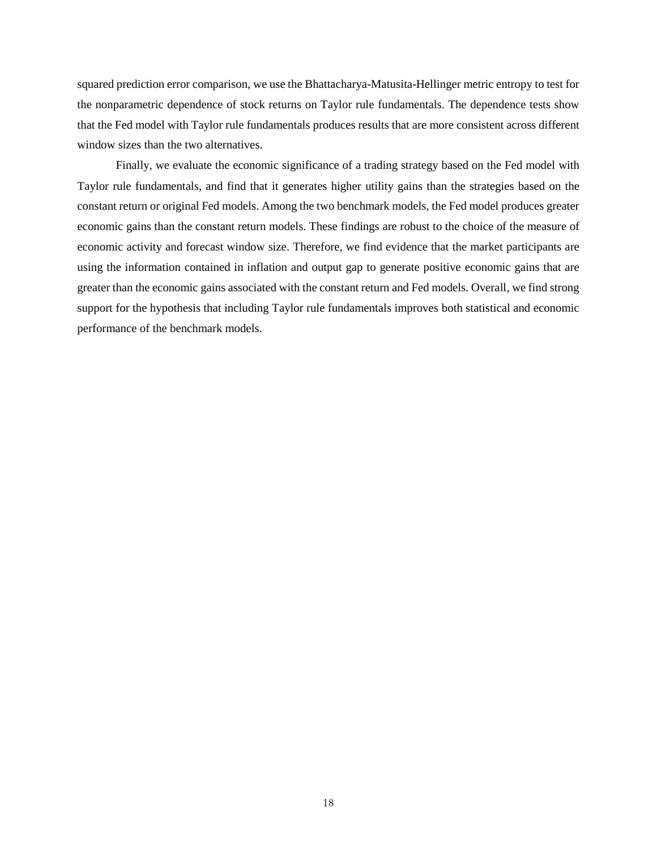squared prediction error comparison, we use the Bhattacharya-Matusita-Hellinger metric entropy to test for the nonparametric dependence of stock returns on Taylor rule fundamentals. The dependence tests show that the Fed model with Taylor rule fundamentals produces results that are more consistent across different window sizes than the two alternatives.

Finally, we evaluate the economic significance of a trading strategy based on the Fed model with Taylor rule fundamentals, and find that it generates higher utility gains than the strategies based on the constant return or original Fed models. Among the two benchmark models, the Fed model produces greater economic gains than the constant return models. These findings are robust to the choice of the measure of economic activity and forecast window size. Therefore, we find evidence that the market participants are using the information contained in inflation and output gap to generate positive economic gains that are greater than the economic gains associated with the constant return and Fed models. Overall, we find strong support for the hypothesis that including Taylor rule fundamentals improves both statistical and economic performance of the benchmark models.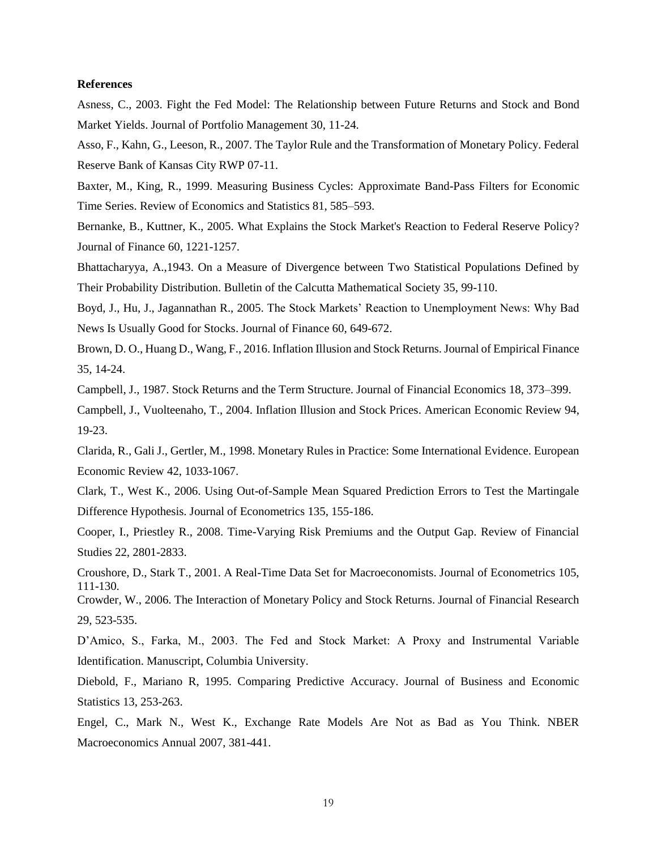#### **References**

Asness, C., 2003. Fight the Fed Model: The Relationship between Future Returns and Stock and Bond Market Yields. Journal of Portfolio Management 30, 11-24.

Asso, F., Kahn, G., Leeson, R., 2007. The Taylor Rule and the Transformation of Monetary Policy. Federal Reserve Bank of Kansas City RWP 07-11.

Baxter, M., King, R., 1999. Measuring Business Cycles: Approximate Band-Pass Filters for Economic Time Series. Review of Economics and Statistics 81, 585–593.

Bernanke, B., Kuttner, K., 2005. [What Explains the Stock Market's Reaction to Federal Reserve Policy?](http://ideas.repec.org/a/bla/jfinan/v60y2005i3p1221-1257.html) [Journal of Finance](http://ideas.repec.org/s/bla/jfinan.html) 60, 1221-1257.

Bhattacharyya, A.,1943. On a Measure of Divergence between Two Statistical Populations Defined by Their Probability Distribution. Bulletin of the Calcutta Mathematical Society 35, 99-110.

Boyd, J., Hu, J., Jagannathan R., 2005. The Stock Markets' Reaction to Unemployment News: Why Bad News Is Usually Good for Stocks. Journal of Finance 60, 649-672.

Brown, D. O., Huang D., Wang, F., 2016. Inflation Illusion and Stock Returns. Journal of Empirical Finance 35, 14-24.

Campbell, J., 1987. Stock Returns and the Term Structure. Journal of Financial Economics 18, 373–399.

Campbell, J., Vuolteenaho, T., 2004. [Inflation Illusion and Stock Prices.](http://ideas.repec.org/a/aea/aecrev/v94y2004i2p19-23.html) [American Economic Review](http://ideas.repec.org/s/aea/aecrev.html) 94, 19-23.

Clarida, R., Gali J., Gertler, M., 1998. Monetary Rules in Practice: Some International Evidence. European Economic Review 42, 1033-1067.

Clark, T., West K., 2006. Using Out-of-Sample Mean Squared Prediction Errors to Test the Martingale Difference Hypothesis. Journal of Econometrics 135, 155-186.

Cooper, I., Priestley R., 2008. Time-Varying Risk Premiums and the Output Gap. Review of Financial Studies 22, 2801-2833.

Croushore, D., Stark T., 2001. A Real-Time Data Set for Macroeconomists. Journal of Econometrics 105, 111-130.

Crowder, W., 2006. The Interaction of Monetary Policy and Stock Returns. Journal of Financial Research 29, 523-535.

D'Amico, S., Farka, M., 2003. The Fed and Stock Market: A Proxy and Instrumental Variable Identification. Manuscript, Columbia University.

Diebold, F., Mariano R, 1995. Comparing Predictive Accuracy. Journal of Business and Economic Statistics 13, 253-263.

Engel, C., Mark N., West K., Exchange Rate Models Are Not as Bad as You Think. NBER Macroeconomics Annual 2007, 381-441.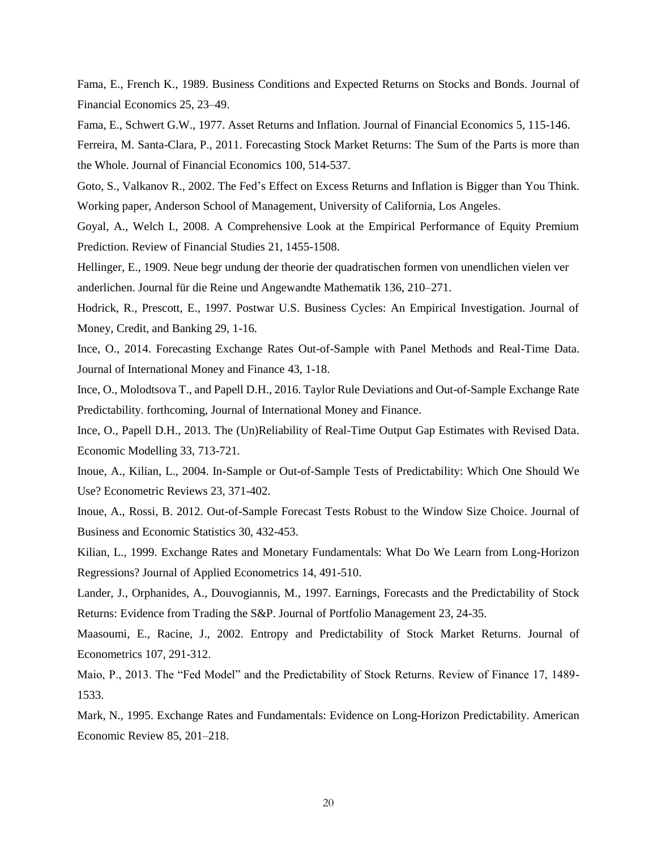Fama, E., French K., 1989. Business Conditions and Expected Returns on Stocks and Bonds. Journal of Financial Economics 25, 23–49.

Fama, E., Schwert G.W., 1977. Asset Returns and Inflation. Journal of Financial Economics 5, 115-146.

Ferreira, M. Santa-Clara, P., 2011. Forecasting Stock Market Returns: The Sum of the Parts is more than the Whole. Journal of Financial Economics 100, 514-537.

Goto, S., Valkanov R., 2002. The Fed's Effect on Excess Returns and Inflation is Bigger than You Think. Working paper, Anderson School of Management, University of California, Los Angeles.

Goyal, A., Welch I., 2008. A Comprehensive Look at the Empirical Performance of Equity Premium Prediction. Review of Financial Studies 21, 1455-1508.

Hellinger, E., 1909. Neue begr undung der theorie der quadratischen formen von unendlichen vielen ver anderlichen. Journal für die Reine und Angewandte Mathematik 136, 210–271.

Hodrick, R., Prescott, E., 1997. Postwar U.S. Business Cycles: An Empirical Investigation. Journal of Money, Credit, and Banking 29, 1-16.

Ince, O., 2014. Forecasting Exchange Rates Out-of-Sample with Panel Methods and Real-Time Data. Journal of International Money and Finance 43, 1-18.

Ince, O., Molodtsova T., and Papell D.H., 2016. Taylor Rule Deviations and Out-of-Sample Exchange Rate Predictability. forthcoming, Journal of International Money and Finance.

Ince, O., Papell D.H., 2013. The (Un)Reliability of Real-Time Output Gap Estimates with Revised Data. Economic Modelling 33, 713-721.

Inoue, A., Kilian, L., 2004. In-Sample or Out-of-Sample Tests of Predictability: Which One Should We Use? Econometric Reviews 23, 371-402.

Inoue, A., Rossi, B. 2012. Out-of-Sample Forecast Tests Robust to the Window Size Choice. Journal of Business and Economic Statistics 30, 432-453.

Kilian, L., 1999. Exchange Rates and Monetary Fundamentals: What Do We Learn from Long-Horizon Regressions? Journal of Applied Econometrics 14, 491-510.

Lander, J., [Orphanides, A.,](http://en.wikipedia.org/wiki/Athanasios_Orphanides) Douvogiannis, M., 1997. Earnings, Forecasts and the Predictability of Stock Returns: Evidence from Trading the S&P. Journal of Portfolio Management 23, 24-35.

Maasoumi, E., Racine, J., 2002. [Entropy and Predictability of Stock Market Returns.](http://userwww.service.emory.edu/~mboerck/joefinal.pdf) Journal of Econometrics 107, 291-312.

Maio, P., 2013. The "Fed Model" and the Predictability of Stock Returns. Review of Finance 17, 1489- 1533.

Mark, N., 1995. Exchange Rates and Fundamentals: Evidence on Long-Horizon Predictability. American Economic Review 85, 201–218.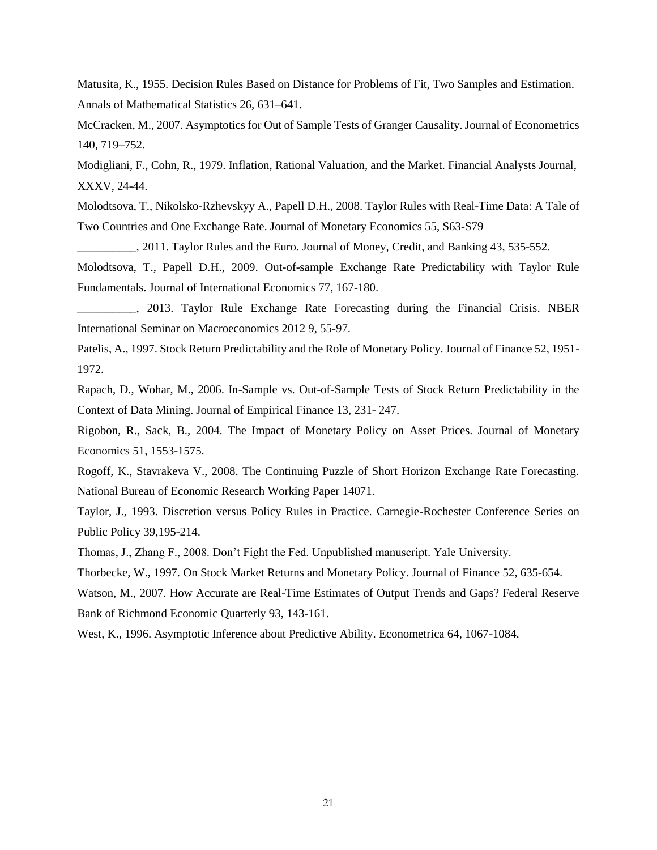Matusita, K., 1955. Decision Rules Based on Distance for Problems of Fit, Two Samples and Estimation. Annals of Mathematical Statistics 26, 631–641.

McCracken, M., 2007. Asymptotics for Out of Sample Tests of Granger Causality. Journal of Econometrics 140, 719–752.

Modigliani, F., Cohn, R., 1979. Inflation, Rational Valuation, and the Market. Financial Analysts Journal, XXXV, 24-44.

Molodtsova, T., Nikolsko-Rzhevskyy A., Papell D.H., 2008. Taylor Rules with Real-Time Data: A Tale of Two Countries and One Exchange Rate. Journal of Monetary Economics 55, S63-S79

...., 2011. Taylor Rules and the Euro. Journal of Money, Credit, and Banking 43, 535-552.

Molodtsova, T., Papell D.H., 2009. Out-of-sample Exchange Rate Predictability with Taylor Rule Fundamentals. Journal of International Economics 77, 167-180.

\_\_\_\_\_\_\_\_\_\_, 2013. Taylor Rule Exchange Rate Forecasting during the Financial Crisis. NBER International Seminar on Macroeconomics 2012 9, 55-97.

Patelis, A., 1997. Stock Return Predictability and the Role of Monetary Policy. Journal of Finance 52, 1951- 1972.

Rapach, D., Wohar, M., 2006. In-Sample vs. Out-of-Sample Tests of Stock Return Predictability in the Context of Data Mining. Journal of Empirical Finance 13, 231- 247.

Rigobon, R., Sack, B., 2004. [The Impact of Monetary Policy on Asset Prices.](http://ideas.repec.org/a/eee/moneco/v51y2004i8p1553-1575.html) [Journal of Monetary](http://ideas.repec.org/s/eee/moneco.html)  [Economics](http://ideas.repec.org/s/eee/moneco.html) 51, 1553-1575.

Rogoff, K., Stavrakeva V., 2008. The Continuing Puzzle of Short Horizon Exchange Rate Forecasting. National Bureau of Economic Research Working Paper 14071.

Taylor, J., 1993. Discretion versus Policy Rules in Practice. Carnegie-Rochester Conference Series on Public Policy 39,195-214.

Thomas, J., Zhang F., 2008. Don't Fight the Fed. Unpublished manuscript. Yale University.

Thorbecke, W., 1997. [On Stock Market Returns](http://ideas.repec.org/a/bla/jfinan/v52y1997i2p635-54.html) and Monetary Policy. [Journal of Finance](http://ideas.repec.org/s/bla/jfinan.html) 52, 635-654.

Watson, M., 2007. How Accurate are Real-Time Estimates of Output Trends and Gaps? Federal Reserve Bank of Richmond Economic Quarterly 93, 143-161.

West, K., 1996. Asymptotic Inference about Predictive Ability. Econometrica 64, 1067-1084.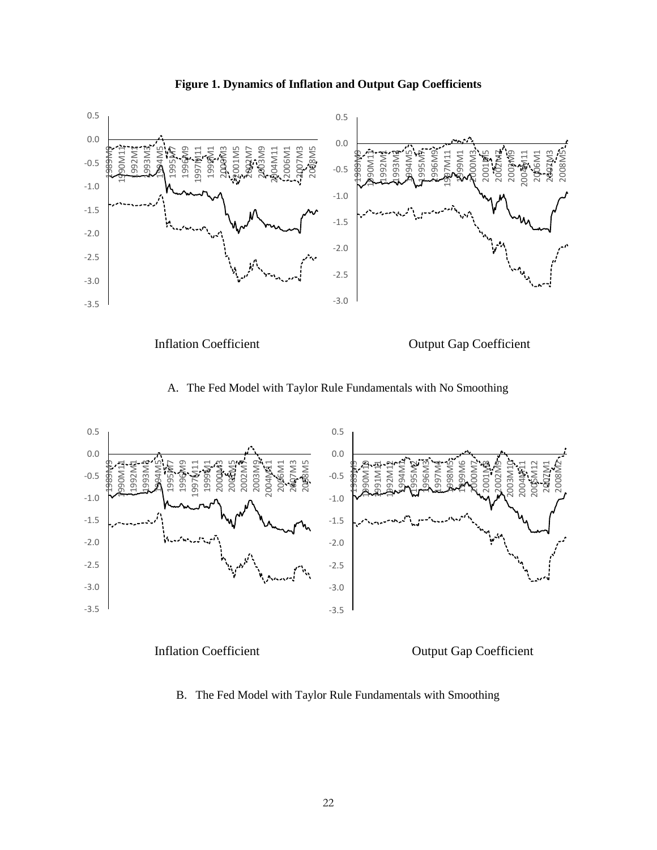



A. The Fed Model with Taylor Rule Fundamentals with No Smoothing





Inflation Coefficient Output Gap Coefficient

B. The Fed Model with Taylor Rule Fundamentals with Smoothing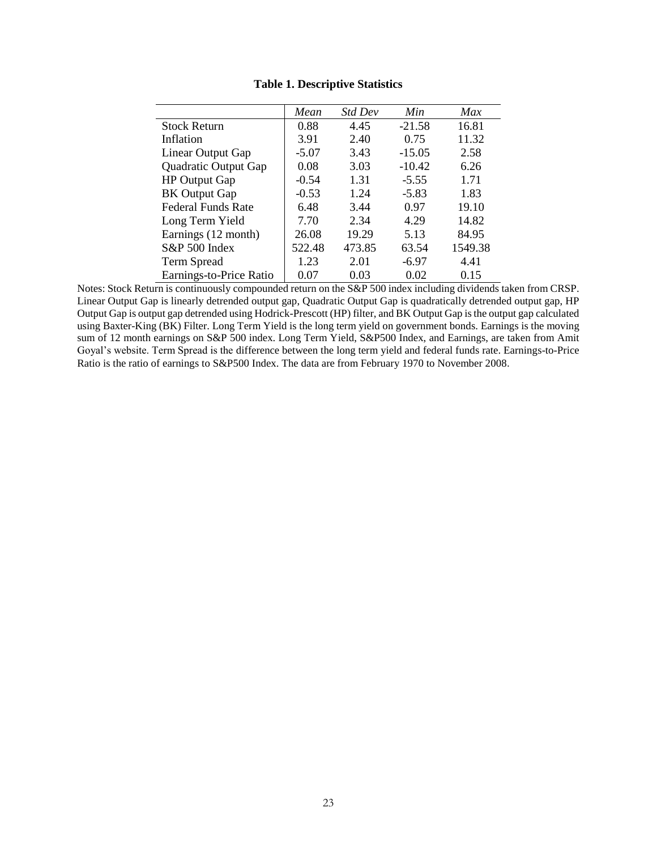|                           | Mean    | <b>Std Dev</b> | Min      | Max     |
|---------------------------|---------|----------------|----------|---------|
| <b>Stock Return</b>       | 0.88    | 4.45           | $-21.58$ | 16.81   |
| Inflation                 | 3.91    | 2.40           | 0.75     | 11.32   |
| Linear Output Gap         | $-5.07$ | 3.43           | $-15.05$ | 2.58    |
| Quadratic Output Gap      | 0.08    | 3.03           | $-10.42$ | 6.26    |
| <b>HP</b> Output Gap      | $-0.54$ | 1.31           | $-5.55$  | 1.71    |
| <b>BK</b> Output Gap      | $-0.53$ | 1.24           | $-5.83$  | 1.83    |
| <b>Federal Funds Rate</b> | 6.48    | 3.44           | 0.97     | 19.10   |
| Long Term Yield           | 7.70    | 2.34           | 4.29     | 14.82   |
| Earnings (12 month)       | 26.08   | 19.29          | 5.13     | 84.95   |
| S&P 500 Index             | 522.48  | 473.85         | 63.54    | 1549.38 |
| <b>Term Spread</b>        | 1.23    | 2.01           | $-6.97$  | 4.41    |
| Earnings-to-Price Ratio   | 0.07    | 0.03           | 0.02     | 0.15    |

**Table 1. Descriptive Statistics** 

Notes: Stock Return is continuously compounded return on the S&P 500 index including dividends taken from CRSP. Linear Output Gap is linearly detrended output gap, Quadratic Output Gap is quadratically detrended output gap, HP Output Gap is output gap detrended using Hodrick-Prescott (HP) filter, and BK Output Gap is the output gap calculated using Baxter-King (BK) Filter. Long Term Yield is the long term yield on government bonds. Earnings is the moving sum of 12 month earnings on S&P 500 index. Long Term Yield, S&P500 Index, and Earnings, are taken from Amit Goyal's website. Term Spread is the difference between the long term yield and federal funds rate. Earnings-to-Price Ratio is the ratio of earnings to S&P500 Index. The data are from February 1970 to November 2008.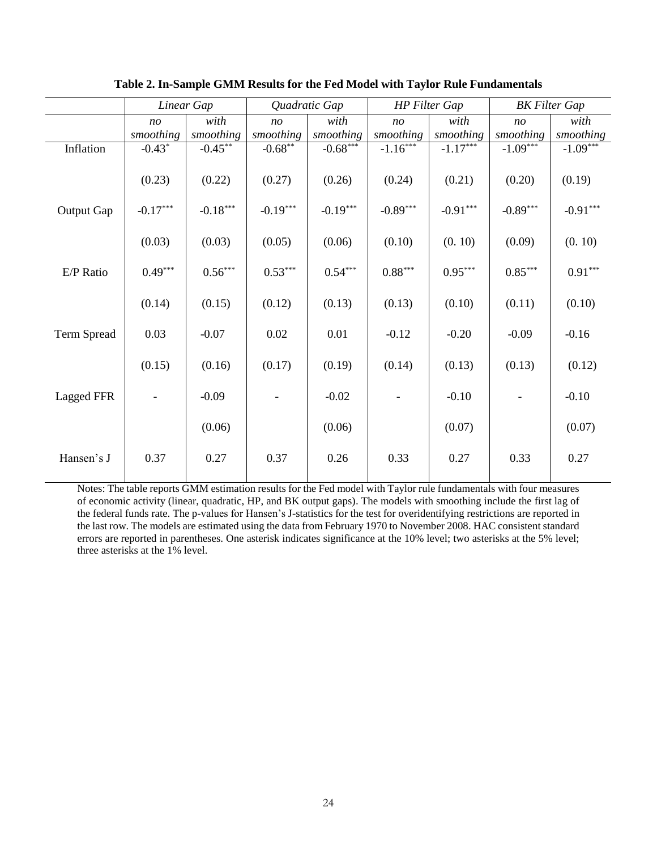|             |                | Linear Gap                      |                | Quadratic Gap         | <b>HP</b> Filter Gap |            |                | <b>BK</b> Filter Gap  |
|-------------|----------------|---------------------------------|----------------|-----------------------|----------------------|------------|----------------|-----------------------|
|             | n <sub>O</sub> | with                            | n <sub>O</sub> | with                  | n <sub>O</sub>       | with       | n <sub>O</sub> | with                  |
|             | smoothing      | smoothing                       | smoothing      | smoothing             | smoothing            | smoothing  | smoothing      | smoothing             |
| Inflation   | $-0.43*$       | $-0.45$ **                      | $-0.68$ **     | $-0.68***$            | $-1.16***$           | $-1.17***$ | $-1.09***$     | $-1.09***$            |
|             | (0.23)         | (0.22)                          | (0.27)         | (0.26)                | (0.24)               | (0.21)     | (0.20)         | (0.19)                |
| Output Gap  | $-0.17***$     | $\textbf{-0.18}^{\ast\ast\ast}$ | $-0.19***$     | $-0.19***$            | $-0.89***$           | $-0.91***$ | $-0.89***$     | $-0.91***$            |
|             |                |                                 |                |                       |                      |            |                |                       |
|             | (0.03)         | (0.03)                          | (0.05)         | (0.06)                | (0.10)               | (0.10)     | (0.09)         | (0.10)                |
| E/P Ratio   | $0.49***$      | $0.56^{\ast\ast\ast}$           | $0.53***$      | $0.54^{\ast\ast\ast}$ | $0.88***$            | $0.95***$  | $0.85***$      | $0.91^{\ast\ast\ast}$ |
|             |                |                                 |                |                       |                      |            |                |                       |
|             | (0.14)         | (0.15)                          | (0.12)         | (0.13)                | (0.13)               | (0.10)     | (0.11)         | (0.10)                |
| Term Spread | 0.03           | $-0.07$                         | 0.02           | 0.01                  | $-0.12$              | $-0.20$    | $-0.09$        | $-0.16$               |
|             |                |                                 |                |                       |                      |            |                |                       |
|             | (0.15)         | (0.16)                          | (0.17)         | (0.19)                | (0.14)               | (0.13)     | (0.13)         | (0.12)                |
| Lagged FFR  |                | $-0.09$                         |                | $-0.02$               |                      | $-0.10$    |                | $-0.10$               |
|             |                | (0.06)                          |                | (0.06)                |                      | (0.07)     |                | (0.07)                |
| Hansen's J  | 0.37           | 0.27                            | 0.37           | 0.26                  | 0.33                 | 0.27       | 0.33           | 0.27                  |

**Table 2. In-Sample GMM Results for the Fed Model with Taylor Rule Fundamentals**

Notes: The table reports GMM estimation results for the Fed model with Taylor rule fundamentals with four measures of economic activity (linear, quadratic, HP, and BK output gaps). The models with smoothing include the first lag of the federal funds rate. The p-values for Hansen's J-statistics for the test for overidentifying restrictions are reported in the last row. The models are estimated using the data from February 1970 to November 2008. HAC consistent standard errors are reported in parentheses. One asterisk indicates significance at the 10% level; two asterisks at the 5% level; three asterisks at the 1% level.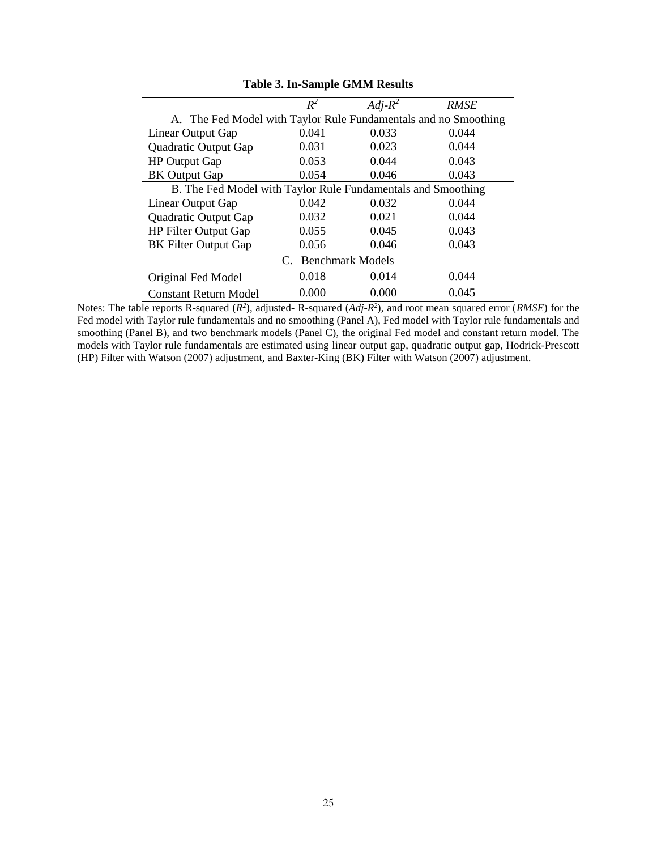|                                                                 | $R^2$                                                        | $Adj-R^2$ | <b>RMSE</b> |  |  |  |
|-----------------------------------------------------------------|--------------------------------------------------------------|-----------|-------------|--|--|--|
| A. The Fed Model with Taylor Rule Fundamentals and no Smoothing |                                                              |           |             |  |  |  |
| Linear Output Gap                                               | 0.041                                                        | 0.033     | 0.044       |  |  |  |
| Quadratic Output Gap                                            | 0.031                                                        | 0.023     | 0.044       |  |  |  |
| <b>HP</b> Output Gap                                            | 0.053                                                        | 0.044     | 0.043       |  |  |  |
| <b>BK</b> Output Gap                                            | 0.054                                                        | 0.046     | 0.043       |  |  |  |
|                                                                 | B. The Fed Model with Taylor Rule Fundamentals and Smoothing |           |             |  |  |  |
| Linear Output Gap                                               | 0.042                                                        | 0.032     | 0.044       |  |  |  |
| Quadratic Output Gap                                            | 0.032                                                        | 0.021     | 0.044       |  |  |  |
| <b>HP Filter Output Gap</b>                                     | 0.055                                                        | 0.045     | 0.043       |  |  |  |
| <b>BK</b> Filter Output Gap                                     | 0.056                                                        | 0.046     | 0.043       |  |  |  |
| <b>Benchmark Models</b><br>$C_{\cdot}$                          |                                                              |           |             |  |  |  |
| Original Fed Model                                              | 0.018                                                        | 0.014     | 0.044       |  |  |  |
| <b>Constant Return Model</b>                                    | 0.000                                                        | 0.000     | 0.045       |  |  |  |

**Table 3. In-Sample GMM Results**

Notes: The table reports R-squared  $(R^2)$ , adjusted- R-squared  $(Adj-R^2)$ , and root mean squared error  $(RMSE)$  for the Fed model with Taylor rule fundamentals and no smoothing (Panel A), Fed model with Taylor rule fundamentals and smoothing (Panel B), and two benchmark models (Panel C), the original Fed model and constant return model. The models with Taylor rule fundamentals are estimated using linear output gap, quadratic output gap, Hodrick-Prescott (HP) Filter with Watson (2007) adjustment, and Baxter-King (BK) Filter with Watson (2007) adjustment.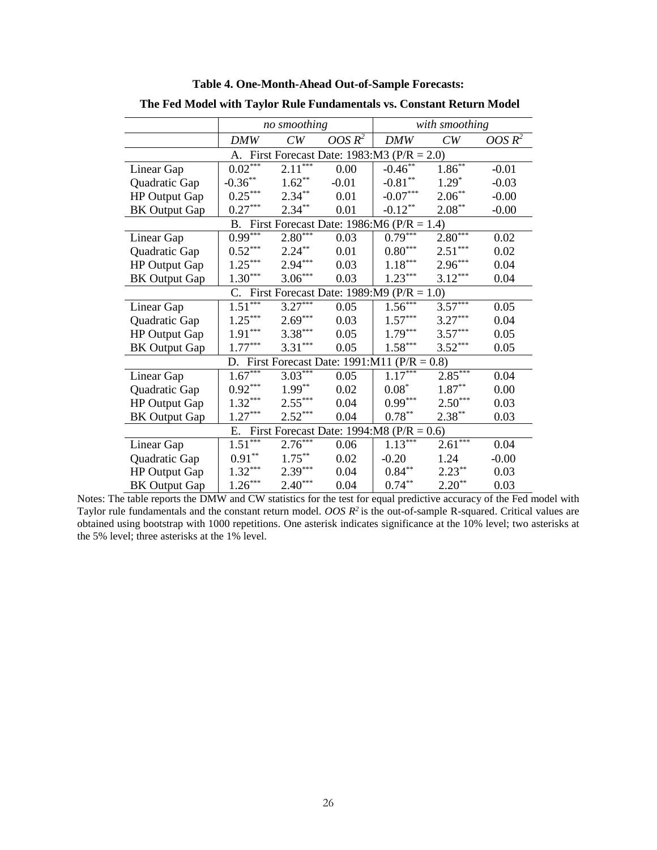|                                               | no smoothing |           |           | with smoothing                                     |             |           |  |
|-----------------------------------------------|--------------|-----------|-----------|----------------------------------------------------|-------------|-----------|--|
|                                               | DMW          | CW        | OOS $R^2$ | <b>DMW</b>                                         | CW          | OOS $R^2$ |  |
| A. First Forecast Date: $1983:M3$ (P/R = 2.0) |              |           |           |                                                    |             |           |  |
| Linear Gap                                    | $0.02***$    | $2.11***$ | 0.00      | $-0.46^{**}$                                       | $1.86^{**}$ | $-0.01$   |  |
| Quadratic Gap                                 | $-0.36**$    | $1.62**$  | $-0.01$   | $-0.81**$                                          | $1.29*$     | $-0.03$   |  |
| HP Output Gap                                 | $0.25***$    | $2.34***$ | 0.01      | $\textbf{-0.07}^{\ast\ast\ast}$                    | $2.06***$   | $-0.00$   |  |
| <b>BK</b> Output Gap                          | $0.27***$    | $2.34***$ | 0.01      | $-0.12$ **                                         | $2.08***$   | $-0.00$   |  |
|                                               |              |           |           | B. First Forecast Date: 1986:M6 ( $P/R = 1.4$ )    |             |           |  |
| Linear Gap                                    | $0.99***$    | $2.80***$ | 0.03      | $0.79***$                                          | $2.80***$   | 0.02      |  |
| Quadratic Gap                                 | $0.52***$    | $2.24***$ | 0.01      | $0.80^{\ast\ast\ast}$                              | $2.51***$   | 0.02      |  |
| HP Output Gap                                 | $1.25***$    | $2.94***$ | 0.03      | $1.18***$                                          | $2.96***$   | 0.04      |  |
| <b>BK</b> Output Gap                          | $1.30***$    | $3.06***$ | 0.03      | $1.23***$                                          | $3.12***$   | 0.04      |  |
|                                               |              |           |           | C. First Forecast Date: $1989:M9(P/R = 1.0)$       |             |           |  |
| Linear Gap                                    | $1.51***$    | $3.27***$ | 0.05      | $1.56***$                                          | $3.57***$   | 0.05      |  |
| Quadratic Gap                                 | $1.25***$    | $2.69***$ | 0.03      | $1.57***$                                          | $3.27***$   | 0.04      |  |
| <b>HP Output Gap</b>                          | $1.91***$    | $3.38***$ | 0.05      | $1.79***$                                          | $3.57***$   | 0.05      |  |
| <b>BK</b> Output Gap                          | $1.77***$    | $3.31***$ | 0.05      | $1.58***$                                          | $3.52***$   | 0.05      |  |
|                                               |              |           |           | D. First Forecast Date: $1991:M11$ ( $P/R = 0.8$ ) |             |           |  |
| Linear Gap                                    | $1.67***$    | $3.03***$ | 0.05      | $1.17***$                                          | $2.85***$   | 0.04      |  |
| Quadratic Gap                                 | $0.92***$    | $1.99***$ | 0.02      | $0.08^*$                                           | $1.87**$    | 0.00      |  |
| <b>HP Output Gap</b>                          | $1.32***$    | $2.55***$ | 0.04      | $0.99***$                                          | $2.50***$   | 0.03      |  |
| <b>BK</b> Output Gap                          | $1.27***$    | $2.52***$ | 0.04      | $0.78***$                                          | $2.38***$   | 0.03      |  |
| E. First Forecast Date: $1994:MS (P/R = 0.6)$ |              |           |           |                                                    |             |           |  |
| Linear Gap                                    | $1.51***$    | $2.76***$ | 0.06      | $1.13***$                                          | $2.61***$   | 0.04      |  |
| Quadratic Gap                                 | $0.91**$     | $1.75***$ | 0.02      | $-0.20$                                            | 1.24        | $-0.00$   |  |
| <b>HP Output Gap</b>                          | $1.32***$    | $2.39***$ | 0.04      | $0.84***$                                          | $2.23***$   | 0.03      |  |
| <b>BK</b> Output Gap                          | $1.26***$    | $2.40***$ | 0.04      | $0.74***$                                          | $2.20***$   | 0.03      |  |

**Table 4. One-Month-Ahead Out-of-Sample Forecasts:**

**The Fed Model with Taylor Rule Fundamentals vs. Constant Return Model**

Notes: The table reports the DMW and CW statistics for the test for equal predictive accuracy of the Fed model with Taylor rule fundamentals and the constant return model. *OOS R <sup>2</sup>*is the out-of-sample R-squared. Critical values are obtained using bootstrap with 1000 repetitions. One asterisk indicates significance at the 10% level; two asterisks at the 5% level; three asterisks at the 1% level.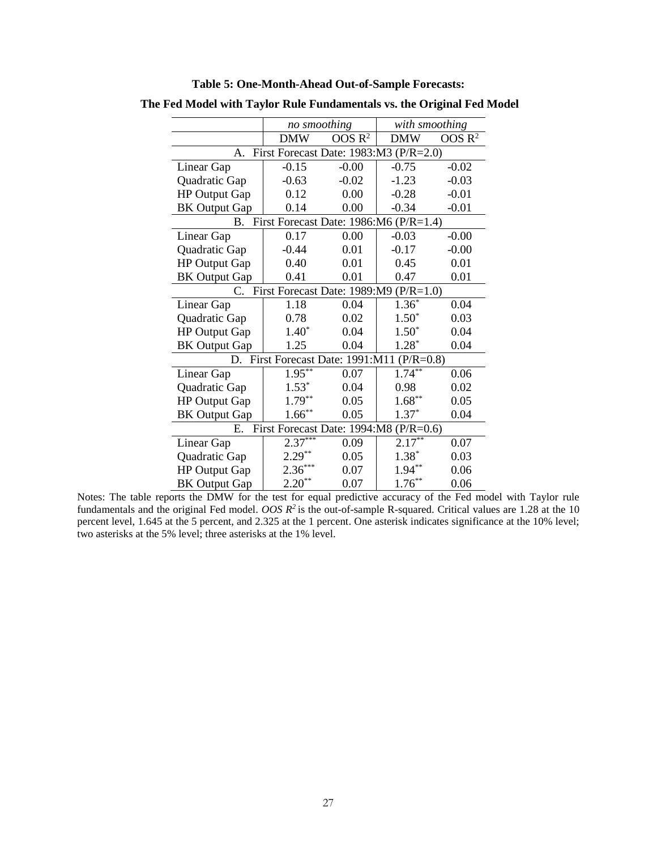|                                              | no smoothing                            |                    | with smoothing |                    |  |  |  |
|----------------------------------------------|-----------------------------------------|--------------------|----------------|--------------------|--|--|--|
|                                              | <b>DMW</b>                              | OOS R <sup>2</sup> | <b>DMW</b>     | OOS R <sup>2</sup> |  |  |  |
| First Forecast Date: 1983:M3 (P/R=2.0)<br>A. |                                         |                    |                |                    |  |  |  |
| Linear Gap                                   | $-0.15$                                 | $-0.00$            | $-0.75$        | $-0.02$            |  |  |  |
| Quadratic Gap                                | $-0.63$                                 | $-0.02$            | $-1.23$        | $-0.03$            |  |  |  |
| <b>HP Output Gap</b>                         | 0.12                                    | 0.00               | $-0.28$        | $-0.01$            |  |  |  |
| <b>BK Output Gap</b>                         | 0.14                                    | 0.00               | $-0.34$        | $-0.01$            |  |  |  |
| <b>B.</b>                                    | First Forecast Date: 1986:M6 (P/R=1.4)  |                    |                |                    |  |  |  |
| Linear Gap                                   | 0.17                                    | 0.00               | $-0.03$        | $-0.00$            |  |  |  |
| Quadratic Gap                                | $-0.44$                                 | 0.01               | $-0.17$        | $-0.00$            |  |  |  |
| <b>HP Output Gap</b>                         | 0.40                                    | 0.01               | 0.45           | 0.01               |  |  |  |
| <b>BK Output Gap</b>                         | 0.41                                    | 0.01               | 0.47           | 0.01               |  |  |  |
| C.                                           | First Forecast Date: 1989:M9 (P/R=1.0)  |                    |                |                    |  |  |  |
| Linear Gap                                   | 1.18                                    | 0.04               | $1.36*$        | 0.04               |  |  |  |
| Quadratic Gap                                | 0.78                                    | 0.02               | $1.50*$        | 0.03               |  |  |  |
| <b>HP Output Gap</b>                         | $1.40*$                                 | 0.04               | $1.50*$        | 0.04               |  |  |  |
| <b>BK Output Gap</b>                         | 1.25                                    | 0.04               | $1.28*$        | 0.04               |  |  |  |
| D.                                           | First Forecast Date: 1991:M11 (P/R=0.8) |                    |                |                    |  |  |  |
| Linear Gap                                   | $1.95***$                               | 0.07               | $1.74***$      | 0.06               |  |  |  |
| Quadratic Gap                                | $1.53*$                                 | 0.04               | 0.98           | 0.02               |  |  |  |
| <b>HP Output Gap</b>                         | $1.79***$                               | 0.05               | $1.68***$      | 0.05               |  |  |  |
| <b>BK Output Gap</b>                         | $1.66***$                               | 0.05               | $1.37*$        | 0.04               |  |  |  |
| First Forecast Date: 1994:M8 (P/R=0.6)<br>Е. |                                         |                    |                |                    |  |  |  |
| Linear Gap                                   | $2.37***$                               | 0.09               | $2.17***$      | 0.07               |  |  |  |
| Quadratic Gap                                | $2.29***$                               | 0.05               | $1.38*$        | 0.03               |  |  |  |
| <b>HP Output Gap</b>                         | $2.36***$                               | 0.07               | $1.94***$      | 0.06               |  |  |  |
| <b>BK Output Gap</b>                         | $2.20**$                                | 0.07               | $1.76***$      | 0.06               |  |  |  |

**Table 5: One-Month-Ahead Out-of-Sample Forecasts:**

**The Fed Model with Taylor Rule Fundamentals vs. the Original Fed Model**

Notes: The table reports the DMW for the test for equal predictive accuracy of the Fed model with Taylor rule fundamentals and the original Fed model. *OOS R <sup>2</sup>*is the out-of-sample R-squared. Critical values are 1.28 at the 10 percent level, 1.645 at the 5 percent, and 2.325 at the 1 percent. One asterisk indicates significance at the 10% level; two asterisks at the 5% level; three asterisks at the 1% level.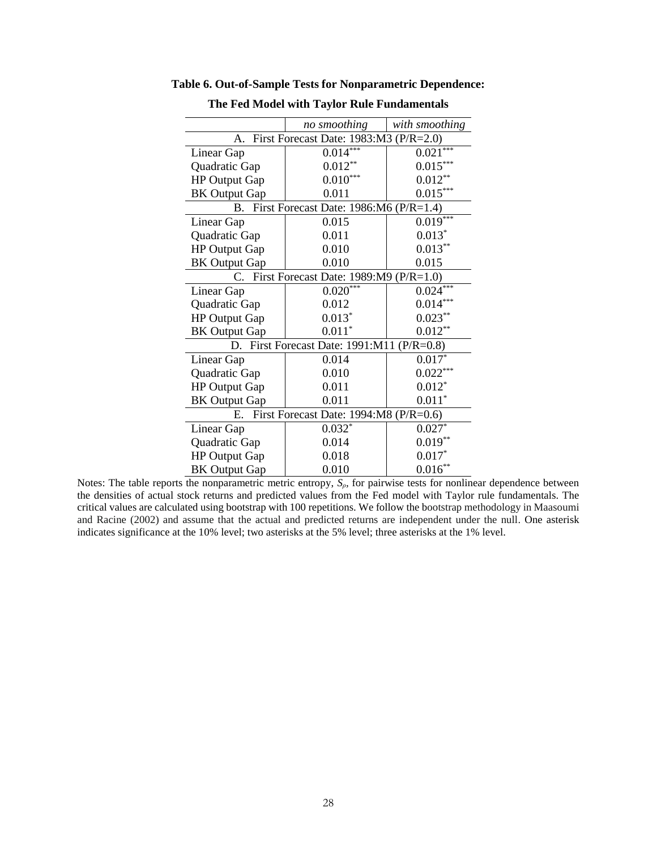|                                              | no smoothing                               | with smoothing |  |  |  |
|----------------------------------------------|--------------------------------------------|----------------|--|--|--|
| First Forecast Date: 1983:M3 (P/R=2.0)<br>A. |                                            |                |  |  |  |
| Linear Gap                                   | $0.014***$                                 | 0.021          |  |  |  |
| Quadratic Gap                                | $0.012**$                                  | $0.015***$     |  |  |  |
| <b>HP Output Gap</b>                         | $0.010***$                                 | $0.012**$      |  |  |  |
| <b>BK</b> Output Gap                         | 0.011                                      | $0.015***$     |  |  |  |
|                                              | B. First Forecast Date: 1986:M6 (P/R=1.4)  |                |  |  |  |
| Linear Gap                                   | 0.015                                      | $0.019***$     |  |  |  |
| Quadratic Gap                                | 0.011                                      | $0.013*$       |  |  |  |
| <b>HP Output Gap</b>                         | 0.010                                      | $0.013**$      |  |  |  |
| <b>BK</b> Output Gap                         | 0.010                                      | 0.015          |  |  |  |
| $C_{\cdot}$                                  | First Forecast Date: 1989:M9 (P/R=1.0)     |                |  |  |  |
| Linear Gap                                   | $0.020***$                                 | $0.024***$     |  |  |  |
| Quadratic Gap                                | 0.012                                      | 0.014          |  |  |  |
| <b>HP Output Gap</b>                         | $0.013*$                                   | $0.023***$     |  |  |  |
| <b>BK</b> Output Gap                         | $0.011*$                                   | $0.012**$      |  |  |  |
|                                              | D. First Forecast Date: 1991:M11 (P/R=0.8) |                |  |  |  |
| Linear Gap                                   | 0.014                                      | $0.017*$       |  |  |  |
| Quadratic Gap                                | 0.010                                      | $0.022***$     |  |  |  |
| <b>HP Output Gap</b>                         | 0.011                                      | $0.012*$       |  |  |  |
| <b>BK</b> Output Gap                         | 0.011                                      | $0.011*$       |  |  |  |
| First Forecast Date: 1994:M8 (P/R=0.6)<br>Е. |                                            |                |  |  |  |
| Linear Gap                                   | $0.032*$                                   | $0.027*$       |  |  |  |
| Quadratic Gap                                | 0.014                                      | $0.019**$      |  |  |  |
| <b>HP Output Gap</b>                         | 0.018                                      | $0.017*$       |  |  |  |
| <b>BK</b> Output Gap                         | 0.010                                      | $0.016**$      |  |  |  |

**Table 6. Out-of-Sample Tests for Nonparametric Dependence:** 

Notes: The table reports the nonparametric metric entropy,  $S_{\rho}$ , for pairwise tests for nonlinear dependence between the densities of actual stock returns and predicted values from the Fed model with Taylor rule fundamentals. The critical values are calculated using bootstrap with 100 repetitions. We follow the bootstrap methodology in Maasoumi and Racine (2002) and assume that the actual and predicted returns are independent under the null. One asterisk indicates significance at the 10% level; two asterisks at the 5% level; three asterisks at the 1% level.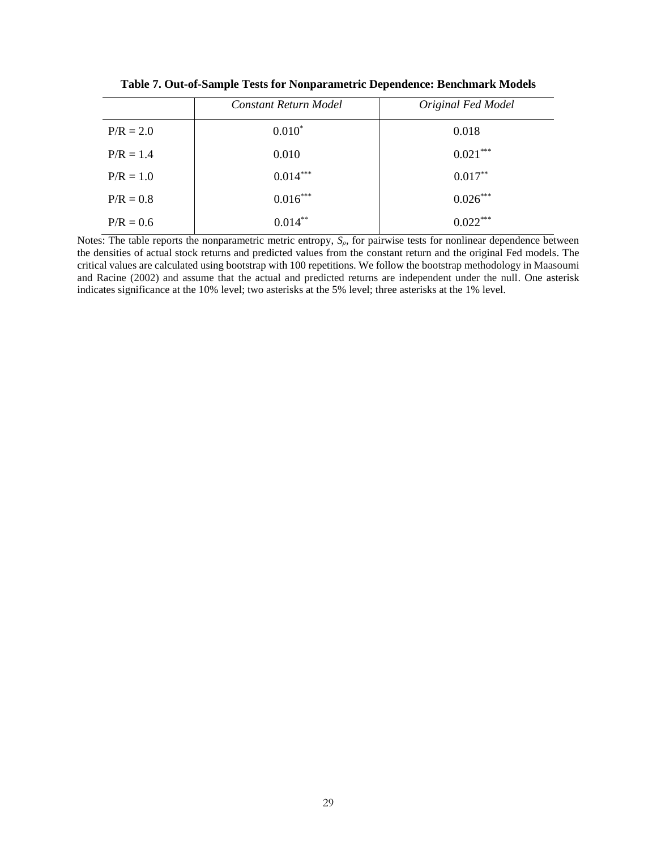|             | Constant Return Model | Original Fed Model |
|-------------|-----------------------|--------------------|
| $P/R = 2.0$ | $0.010*$              | 0.018              |
| $P/R = 1.4$ | 0.010                 | $0.021***$         |
| $P/R = 1.0$ | $0.014***$            | $0.017***$         |
| $P/R = 0.8$ | $0.016***$            | $0.026***$         |
| $P/R = 0.6$ | $0.014***$            | $0.022***$         |

**Table 7. Out-of-Sample Tests for Nonparametric Dependence: Benchmark Models**

Notes: The table reports the nonparametric metric entropy,  $S_{\rho}$ , for pairwise tests for nonlinear dependence between the densities of actual stock returns and predicted values from the constant return and the original Fed models. The critical values are calculated using bootstrap with 100 repetitions. We follow the bootstrap methodology in Maasoumi and Racine (2002) and assume that the actual and predicted returns are independent under the null. One asterisk indicates significance at the 10% level; two asterisks at the 5% level; three asterisks at the 1% level.